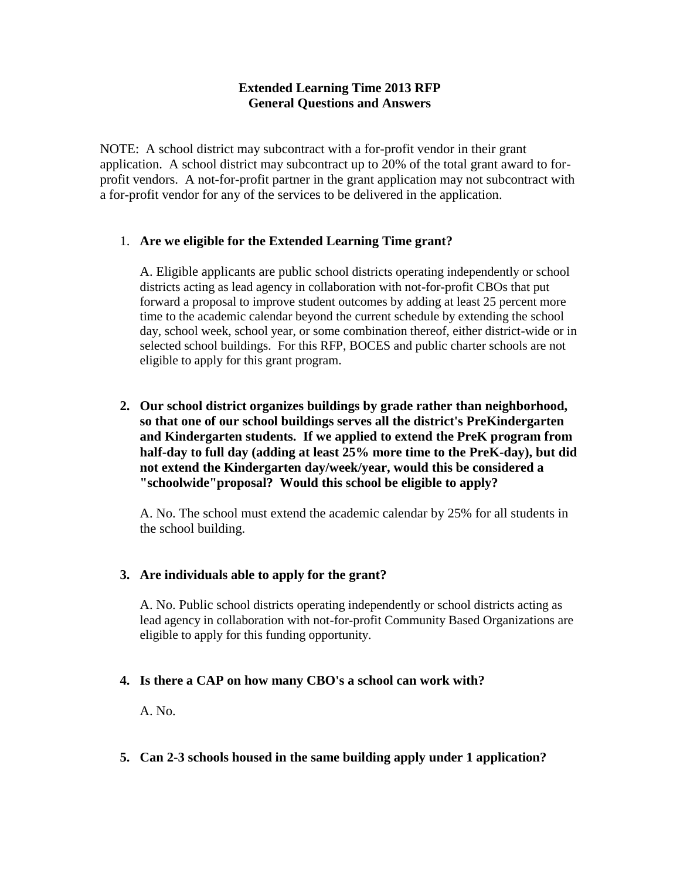# **Extended Learning Time 2013 RFP General Questions and Answers**

NOTE: A school district may subcontract with a for-profit vendor in their grant application. A school district may subcontract up to 20% of the total grant award to forprofit vendors. A not-for-profit partner in the grant application may not subcontract with a for-profit vendor for any of the services to be delivered in the application.

# 1. **Are we eligible for the Extended Learning Time grant?**

A. Eligible applicants are public school districts operating independently or school districts acting as lead agency in collaboration with not-for-profit CBOs that put forward a proposal to improve student outcomes by adding at least 25 percent more time to the academic calendar beyond the current schedule by extending the school day, school week, school year, or some combination thereof, either district-wide or in selected school buildings. For this RFP, BOCES and public charter schools are not eligible to apply for this grant program.

**2. Our school district organizes buildings by grade rather than neighborhood, so that one of our school buildings serves all the district's PreKindergarten and Kindergarten students. If we applied to extend the PreK program from half-day to full day (adding at least 25% more time to the PreK-day), but did not extend the Kindergarten day/week/year, would this be considered a "schoolwide"proposal? Would this school be eligible to apply?**

A. No. The school must extend the academic calendar by 25% for all students in the school building.

# **3. Are individuals able to apply for the grant?**

A. No. Public school districts operating independently or school districts acting as lead agency in collaboration with not-for-profit Community Based Organizations are eligible to apply for this funding opportunity.

#### **4. Is there a CAP on how many CBO's a school can work with?**

A. No.

# **5. Can 2-3 schools housed in the same building apply under 1 application?**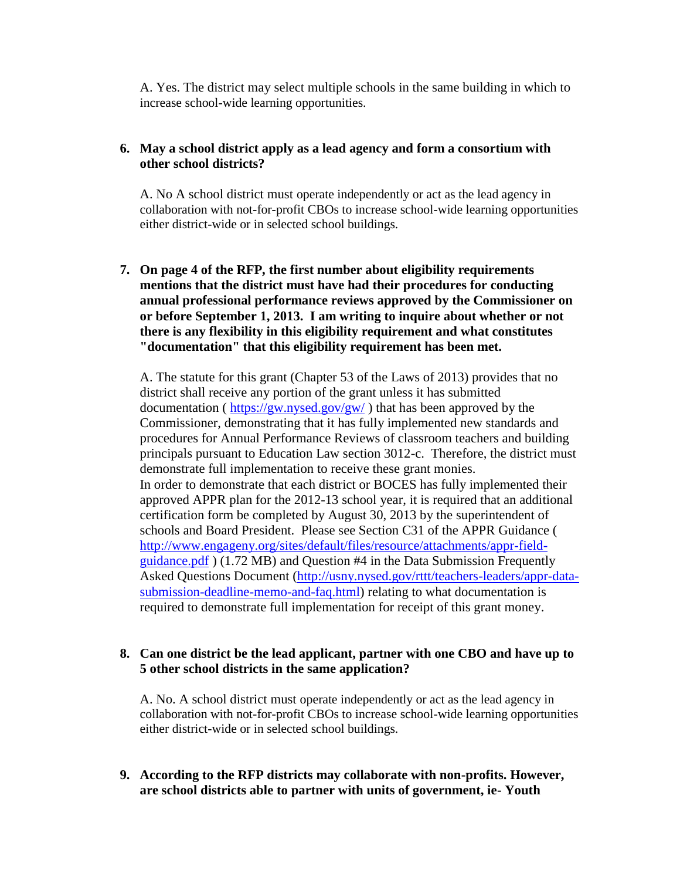A. Yes. The district may select multiple schools in the same building in which to increase school-wide learning opportunities.

### **6. May a school district apply as a lead agency and form a consortium with other school districts?**

A. No A school district must operate independently or act as the lead agency in collaboration with not-for-profit CBOs to increase school-wide learning opportunities either district-wide or in selected school buildings.

**7. On page 4 of the RFP, the first number about eligibility requirements mentions that the district must have had their procedures for conducting annual professional performance reviews approved by the Commissioner on or before September 1, 2013. I am writing to inquire about whether or not there is any flexibility in this eligibility requirement and what constitutes "documentation" that this eligibility requirement has been met.**

A. The statute for this grant (Chapter 53 of the Laws of 2013) provides that no district shall receive any portion of the grant unless it has submitted documentation ( $\frac{https://gw.nysed.gov/gw/}{https://gw.nysed.gov/gw/})$  that has been approved by the Commissioner, demonstrating that it has fully implemented new standards and procedures for Annual Performance Reviews of classroom teachers and building principals pursuant to Education Law section 3012-c. Therefore, the district must demonstrate full implementation to receive these grant monies. In order to demonstrate that each district or BOCES has fully implemented their approved APPR plan for the 2012-13 school year, it is required that an additional certification form be completed by August 30, 2013 by the superintendent of schools and Board President. Please see Section C31 of the APPR Guidance ( http://www.engageny.org/sites/default/files/resource/attachments/appr-fieldguidance.pdf ) (1.72 MB) and Question #4 in the Data Submission Frequently Asked Questions Document (http://usny.nysed.gov/rttt/teachers-leaders/appr-datasubmission-deadline-memo-and-faq.html) relating to what documentation is required to demonstrate full implementation for receipt of this grant money.

#### **8. Can one district be the lead applicant, partner with one CBO and have up to 5 other school districts in the same application?**

A. No. A school district must operate independently or act as the lead agency in collaboration with not-for-profit CBOs to increase school-wide learning opportunities either district-wide or in selected school buildings.

**9. According to the RFP districts may collaborate with non-profits. However, are school districts able to partner with units of government, ie- Youth**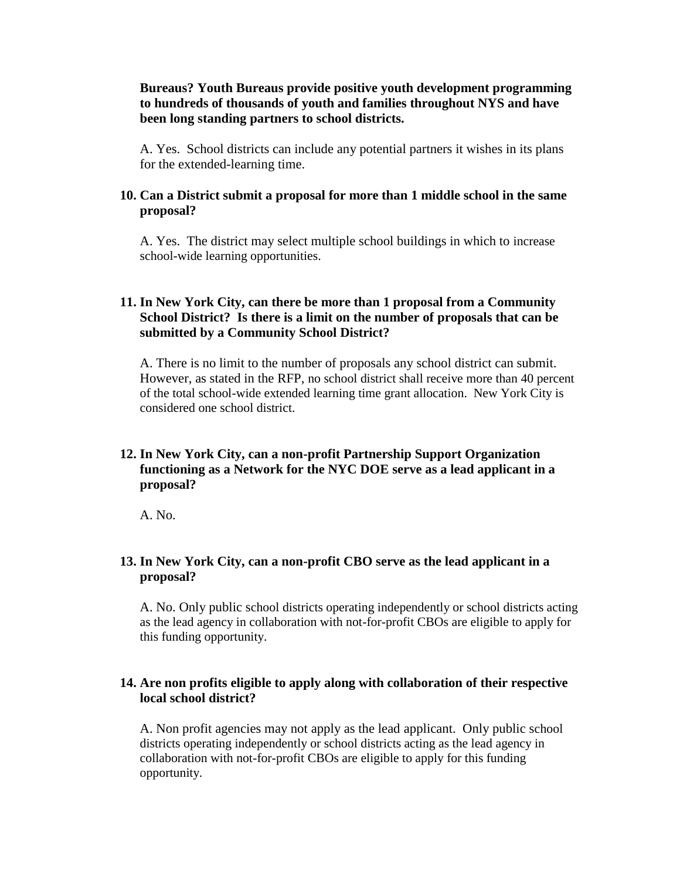#### **Bureaus? Youth Bureaus provide positive youth development programming to hundreds of thousands of youth and families throughout NYS and have been long standing partners to school districts.**

A. Yes. School districts can include any potential partners it wishes in its plans for the extended-learning time.

#### **10. Can a District submit a proposal for more than 1 middle school in the same proposal?**

A. Yes. The district may select multiple school buildings in which to increase school-wide learning opportunities.

#### **11. In New York City, can there be more than 1 proposal from a Community School District? Is there is a limit on the number of proposals that can be submitted by a Community School District?**

A. There is no limit to the number of proposals any school district can submit. However, as stated in the RFP, no school district shall receive more than 40 percent of the total school-wide extended learning time grant allocation. New York City is considered one school district.

### **12. In New York City, can a non-profit Partnership Support Organization functioning as a Network for the NYC DOE serve as a lead applicant in a proposal?**

A. No.

#### **13. In New York City, can a non-profit CBO serve as the lead applicant in a proposal?**

A. No. Only public school districts operating independently or school districts acting as the lead agency in collaboration with not-for-profit CBOs are eligible to apply for this funding opportunity.

#### **14. Are non profits eligible to apply along with collaboration of their respective local school district?**

A. Non profit agencies may not apply as the lead applicant. Only public school districts operating independently or school districts acting as the lead agency in collaboration with not-for-profit CBOs are eligible to apply for this funding opportunity.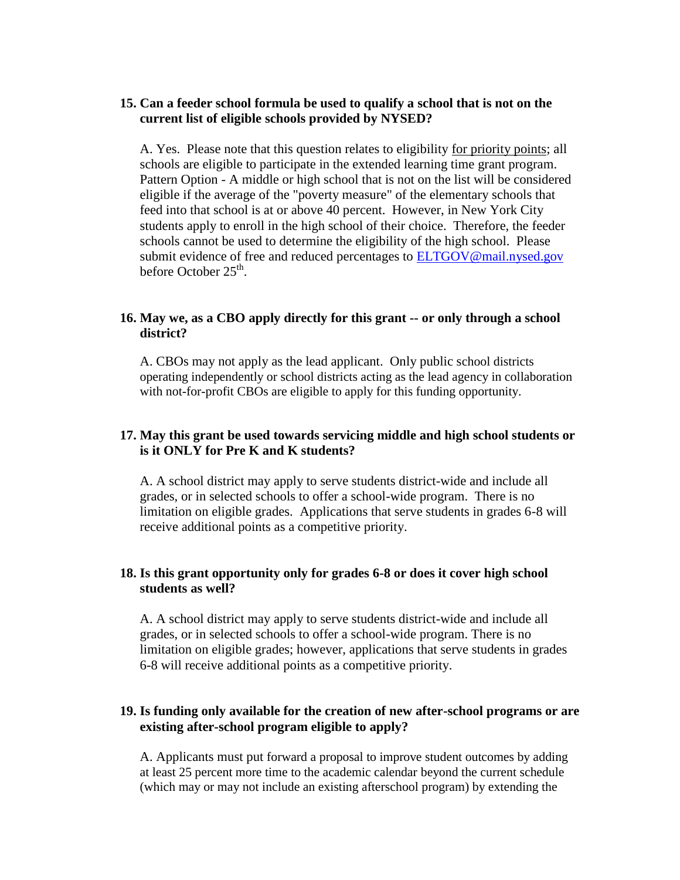#### **15. Can a feeder school formula be used to qualify a school that is not on the current list of eligible schools provided by NYSED?**

A. Yes. Please note that this question relates to eligibility for priority points; all schools are eligible to participate in the extended learning time grant program. Pattern Option - A middle or high school that is not on the list will be considered eligible if the average of the "poverty measure" of the elementary schools that feed into that school is at or above 40 percent. However, in New York City students apply to enroll in the high school of their choice. Therefore, the feeder schools cannot be used to determine the eligibility of the high school. Please submit evidence of free and reduced percentages to **ELTGOV@mail.nysed.gov** before October 25<sup>th</sup>.

#### **16. May we, as a CBO apply directly for this grant -- or only through a school district?**

A. CBOs may not apply as the lead applicant. Only public school districts operating independently or school districts acting as the lead agency in collaboration with not-for-profit CBOs are eligible to apply for this funding opportunity.

#### **17. May this grant be used towards servicing middle and high school students or is it ONLY for Pre K and K students?**

A. A school district may apply to serve students district-wide and include all grades, or in selected schools to offer a school-wide program. There is no limitation on eligible grades. Applications that serve students in grades 6-8 will receive additional points as a competitive priority.

# **18. Is this grant opportunity only for grades 6-8 or does it cover high school students as well?**

A. A school district may apply to serve students district-wide and include all grades, or in selected schools to offer a school-wide program. There is no limitation on eligible grades; however, applications that serve students in grades 6-8 will receive additional points as a competitive priority.

#### **19. Is funding only available for the creation of new after-school programs or are existing after-school program eligible to apply?**

A. Applicants must put forward a proposal to improve student outcomes by adding at least 25 percent more time to the academic calendar beyond the current schedule (which may or may not include an existing afterschool program) by extending the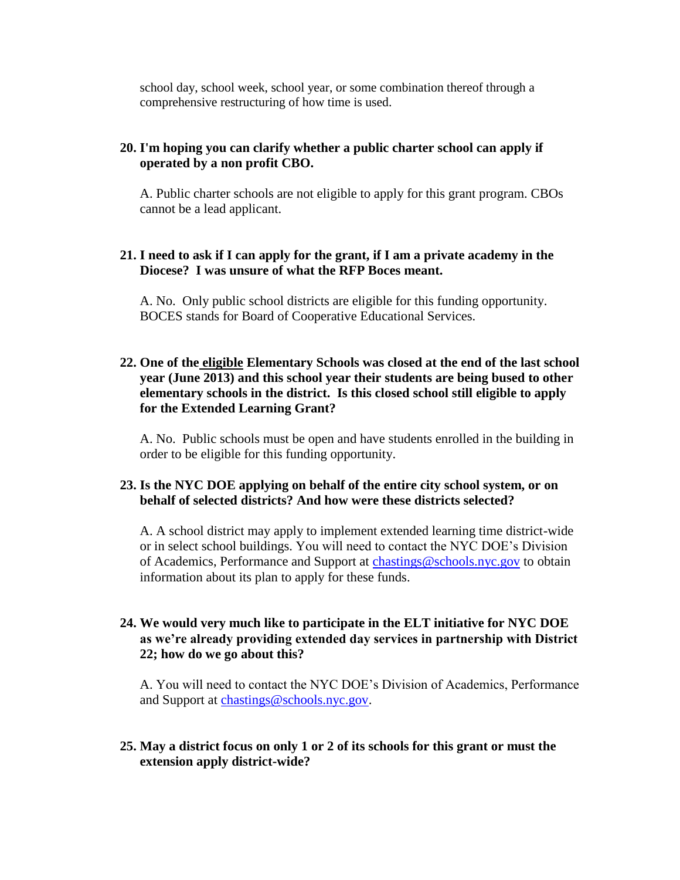school day, school week, school year, or some combination thereof through a comprehensive restructuring of how time is used.

# **20. I'm hoping you can clarify whether a public charter school can apply if operated by a non profit CBO.**

A. Public charter schools are not eligible to apply for this grant program. CBOs cannot be a lead applicant.

#### **21. I need to ask if I can apply for the grant, if I am a private academy in the Diocese? I was unsure of what the RFP Boces meant.**

A. No. Only public school districts are eligible for this funding opportunity. BOCES stands for Board of Cooperative Educational Services.

# **22. One of the eligible Elementary Schools was closed at the end of the last school year (June 2013) and this school year their students are being bused to other elementary schools in the district. Is this closed school still eligible to apply for the Extended Learning Grant?**

A. No. Public schools must be open and have students enrolled in the building in order to be eligible for this funding opportunity.

# **23. Is the NYC DOE applying on behalf of the entire city school system, or on behalf of selected districts? And how were these districts selected?**

A. A school district may apply to implement extended learning time district-wide or in select school buildings. You will need to contact the NYC DOE's Division of Academics, Performance and Support at [chastings@schools.nyc.gov](mailto:chastings@schools.nyc.gov) to obtain information about its plan to apply for these funds.

# **24. We would very much like to participate in the ELT initiative for NYC DOE as we're already providing extended day services in partnership with District 22; how do we go about this?**

A. You will need to contact the NYC DOE's Division of Academics, Performance and Support at [chastings@schools.nyc.gov.](mailto:chastings@schools.nyc.gov)

# **25. May a district focus on only 1 or 2 of its schools for this grant or must the extension apply district-wide?**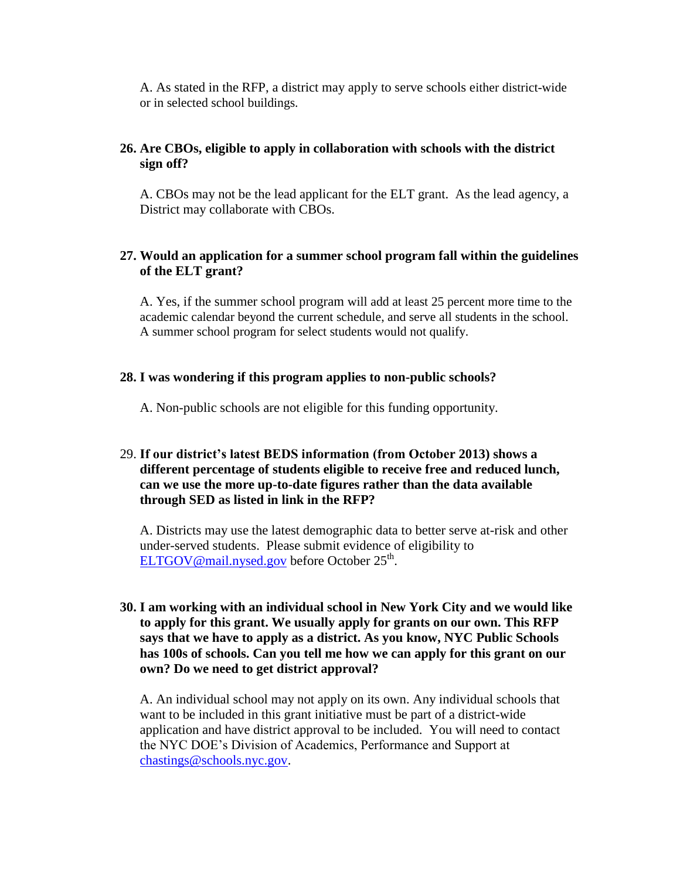A. As stated in the RFP, a district may apply to serve schools either district-wide or in selected school buildings.

# **26. Are CBOs, eligible to apply in collaboration with schools with the district sign off?**

A. CBOs may not be the lead applicant for the ELT grant. As the lead agency, a District may collaborate with CBOs.

# **27. Would an application for a summer school program fall within the guidelines of the ELT grant?**

A. Yes, if the summer school program will add at least 25 percent more time to the academic calendar beyond the current schedule, and serve all students in the school. A summer school program for select students would not qualify.

#### **28. I was wondering if this program applies to non-public schools?**

A. Non-public schools are not eligible for this funding opportunity.

# 29. **If our district's latest BEDS information (from October 2013) shows a different percentage of students eligible to receive free and reduced lunch, can we use the more up-to-date figures rather than the data available through SED as listed in link in the RFP?**

A. Districts may use the latest demographic data to better serve at-risk and other under-served students. Please submit evidence of eligibility to [ELTGOV@mail.nysed.gov](mailto:ELTGOV@mail.nysed.gov) before October 25<sup>th</sup>.

### **30. I am working with an individual school in New York City and we would like to apply for this grant. We usually apply for grants on our own. This RFP says that we have to apply as a district. As you know, NYC Public Schools has 100s of schools. Can you tell me how we can apply for this grant on our own? Do we need to get district approval?**

A. An individual school may not apply on its own. Any individual schools that want to be included in this grant initiative must be part of a district-wide application and have district approval to be included. You will need to contact the NYC DOE's Division of Academics, Performance and Support at [chastings@schools.nyc.gov.](mailto:chastings@schools.nyc.gov)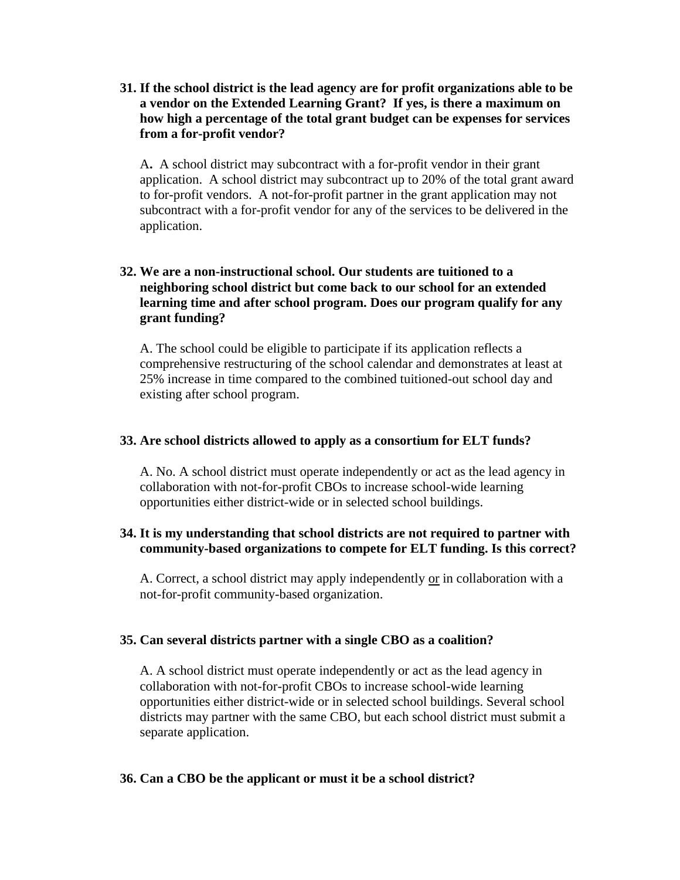**31. If the school district is the lead agency are for profit organizations able to be a vendor on the Extended Learning Grant? If yes, is there a maximum on how high a percentage of the total grant budget can be expenses for services from a for-profit vendor?**

A**.** A school district may subcontract with a for-profit vendor in their grant application. A school district may subcontract up to 20% of the total grant award to for-profit vendors. A not-for-profit partner in the grant application may not subcontract with a for-profit vendor for any of the services to be delivered in the application.

# **32. We are a non-instructional school. Our students are tuitioned to a neighboring school district but come back to our school for an extended learning time and after school program. Does our program qualify for any grant funding?**

A. The school could be eligible to participate if its application reflects a comprehensive restructuring of the school calendar and demonstrates at least at 25% increase in time compared to the combined tuitioned-out school day and existing after school program.

#### **33. Are school districts allowed to apply as a consortium for ELT funds?**

A. No. A school district must operate independently or act as the lead agency in collaboration with not-for-profit CBOs to increase school-wide learning opportunities either district-wide or in selected school buildings.

#### **34. It is my understanding that school districts are not required to partner with community-based organizations to compete for ELT funding. Is this correct?**

A. Correct, a school district may apply independently or in collaboration with a not-for-profit community-based organization.

#### **35. Can several districts partner with a single CBO as a coalition?**

A. A school district must operate independently or act as the lead agency in collaboration with not-for-profit CBOs to increase school-wide learning opportunities either district-wide or in selected school buildings. Several school districts may partner with the same CBO, but each school district must submit a separate application.

#### **36. Can a CBO be the applicant or must it be a school district?**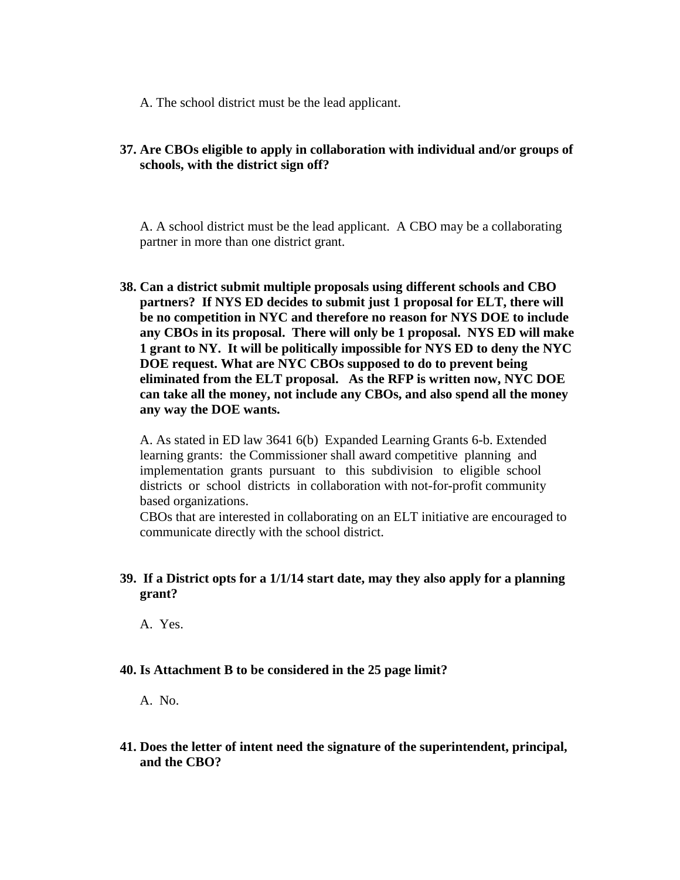A. The school district must be the lead applicant.

# **37. Are CBOs eligible to apply in collaboration with individual and/or groups of schools, with the district sign off?**

A. A school district must be the lead applicant. A CBO may be a collaborating partner in more than one district grant.

**38. Can a district submit multiple proposals using different schools and CBO partners? If NYS ED decides to submit just 1 proposal for ELT, there will be no competition in NYC and therefore no reason for NYS DOE to include any CBOs in its proposal. There will only be 1 proposal. NYS ED will make 1 grant to NY. It will be politically impossible for NYS ED to deny the NYC DOE request. What are NYC CBOs supposed to do to prevent being eliminated from the ELT proposal. As the RFP is written now, NYC DOE can take all the money, not include any CBOs, and also spend all the money any way the DOE wants.** 

A. As stated in ED law 3641 6(b) Expanded Learning Grants 6-b. Extended learning grants: the Commissioner shall award competitive planning and implementation grants pursuant to this subdivision to eligible school districts or school districts in collaboration with not-for-profit community based organizations.

CBOs that are interested in collaborating on an ELT initiative are encouraged to communicate directly with the school district.

# **39. If a District opts for a 1/1/14 start date, may they also apply for a planning grant?**

A. Yes.

#### **40. Is Attachment B to be considered in the 25 page limit?**

A. No.

**41. Does the letter of intent need the signature of the superintendent, principal, and the CBO?**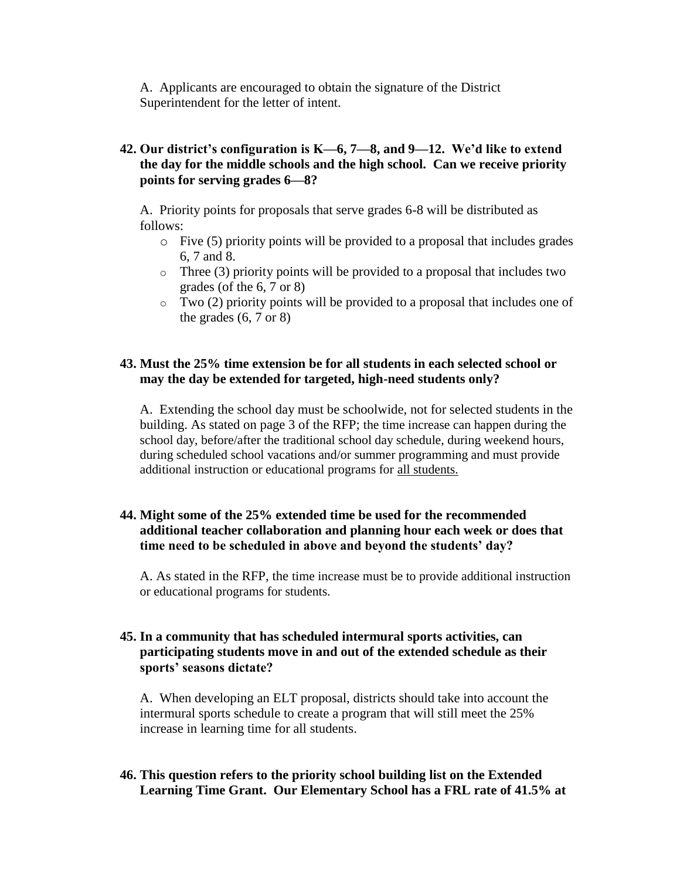A. Applicants are encouraged to obtain the signature of the District Superintendent for the letter of intent.

# **42. Our district's configuration is K—6, 7—8, and 9—12. We'd like to extend the day for the middle schools and the high school. Can we receive priority points for serving grades 6—8?**

A. Priority points for proposals that serve grades 6-8 will be distributed as follows:

- o Five (5) priority points will be provided to a proposal that includes grades 6, 7 and 8.
- $\circ$  Three (3) priority points will be provided to a proposal that includes two grades (of the 6, 7 or 8)
- $\circ$  Two (2) priority points will be provided to a proposal that includes one of the grades  $(6, 7 \text{ or } 8)$

# **43. Must the 25% time extension be for all students in each selected school or may the day be extended for targeted, high-need students only?**

A. Extending the school day must be schoolwide, not for selected students in the building. As stated on page 3 of the RFP; the time increase can happen during the school day, before/after the traditional school day schedule, during weekend hours, during scheduled school vacations and/or summer programming and must provide additional instruction or educational programs for all students.

# **44. Might some of the 25% extended time be used for the recommended additional teacher collaboration and planning hour each week or does that time need to be scheduled in above and beyond the students' day?**

A. As stated in the RFP, the time increase must be to provide additional instruction or educational programs for students.

### **45. In a community that has scheduled intermural sports activities, can participating students move in and out of the extended schedule as their sports' seasons dictate?**

A. When developing an ELT proposal, districts should take into account the intermural sports schedule to create a program that will still meet the 25% increase in learning time for all students.

# **46. This question refers to the priority school building list on the Extended Learning Time Grant. Our Elementary School has a FRL rate of 41.5% at**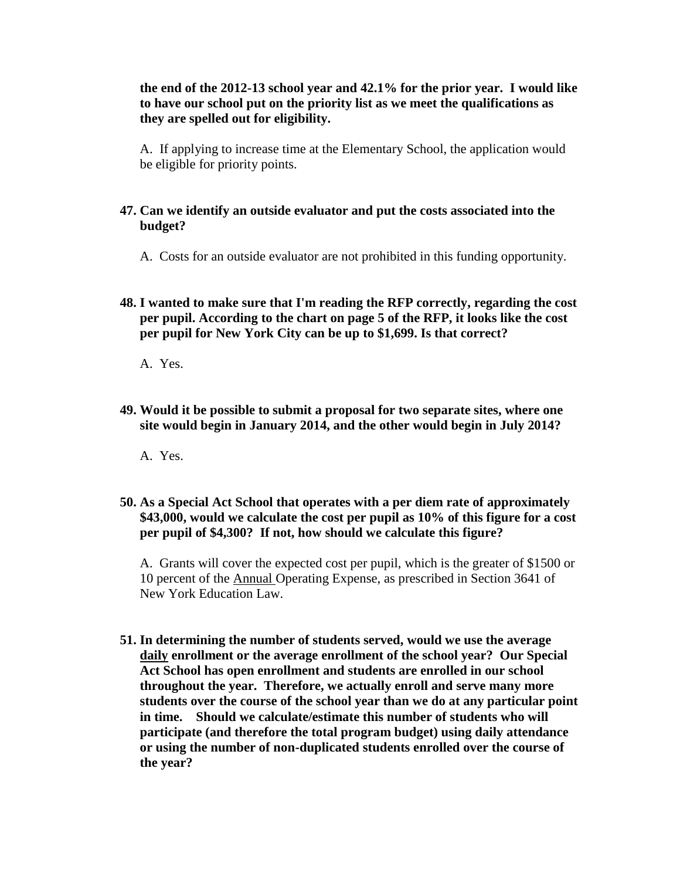## **the end of the 2012-13 school year and 42.1% for the prior year. I would like to have our school put on the priority list as we meet the qualifications as they are spelled out for eligibility.**

A. If applying to increase time at the Elementary School, the application would be eligible for priority points.

#### **47. Can we identify an outside evaluator and put the costs associated into the budget?**

A. Costs for an outside evaluator are not prohibited in this funding opportunity.

**48. I wanted to make sure that I'm reading the RFP correctly, regarding the cost per pupil. According to the chart on page 5 of the RFP, it looks like the cost per pupil for New York City can be up to \$1,699. Is that correct?**

A. Yes.

- **49. Would it be possible to submit a proposal for two separate sites, where one site would begin in January 2014, and the other would begin in July 2014?**
	- A. Yes.
- **50. As a Special Act School that operates with a per diem rate of approximately \$43,000, would we calculate the cost per pupil as 10% of this figure for a cost per pupil of \$4,300? If not, how should we calculate this figure?**

A. Grants will cover the expected cost per pupil, which is the greater of \$1500 or 10 percent of the Annual Operating Expense, as prescribed in Section 3641 of New York Education Law.

**51. In determining the number of students served, would we use the average daily enrollment or the average enrollment of the school year? Our Special Act School has open enrollment and students are enrolled in our school throughout the year. Therefore, we actually enroll and serve many more students over the course of the school year than we do at any particular point in time. Should we calculate/estimate this number of students who will participate (and therefore the total program budget) using daily attendance or using the number of non-duplicated students enrolled over the course of the year?**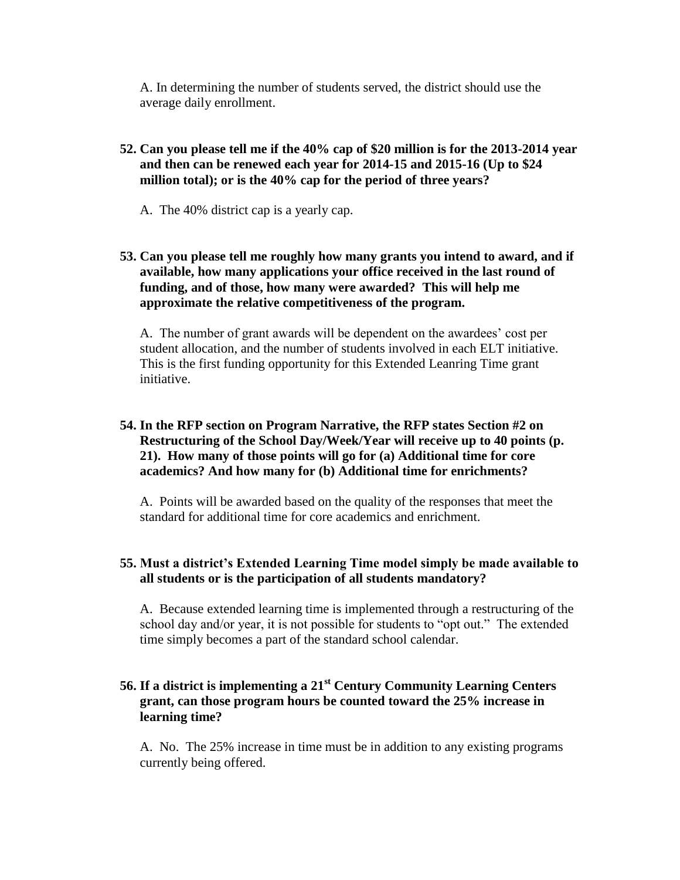A. In determining the number of students served, the district should use the average daily enrollment.

# **52. Can you please tell me if the 40% cap of \$20 million is for the 2013-2014 year and then can be renewed each year for 2014-15 and 2015-16 (Up to \$24 million total); or is the 40% cap for the period of three years?**

- A. The 40% district cap is a yearly cap.
- **53. Can you please tell me roughly how many grants you intend to award, and if available, how many applications your office received in the last round of funding, and of those, how many were awarded? This will help me approximate the relative competitiveness of the program.**

A. The number of grant awards will be dependent on the awardees' cost per student allocation, and the number of students involved in each ELT initiative. This is the first funding opportunity for this Extended Leanring Time grant initiative.

# **54. In the RFP section on Program Narrative, the RFP states Section #2 on Restructuring of the School Day/Week/Year will receive up to 40 points (p. 21). How many of those points will go for (a) Additional time for core academics? And how many for (b) Additional time for enrichments?**

A. Points will be awarded based on the quality of the responses that meet the standard for additional time for core academics and enrichment.

# **55. Must a district's Extended Learning Time model simply be made available to all students or is the participation of all students mandatory?**

A. Because extended learning time is implemented through a restructuring of the school day and/or year, it is not possible for students to "opt out." The extended time simply becomes a part of the standard school calendar.

# **56. If a district is implementing a 21st Century Community Learning Centers grant, can those program hours be counted toward the 25% increase in learning time?**

A. No. The 25% increase in time must be in addition to any existing programs currently being offered.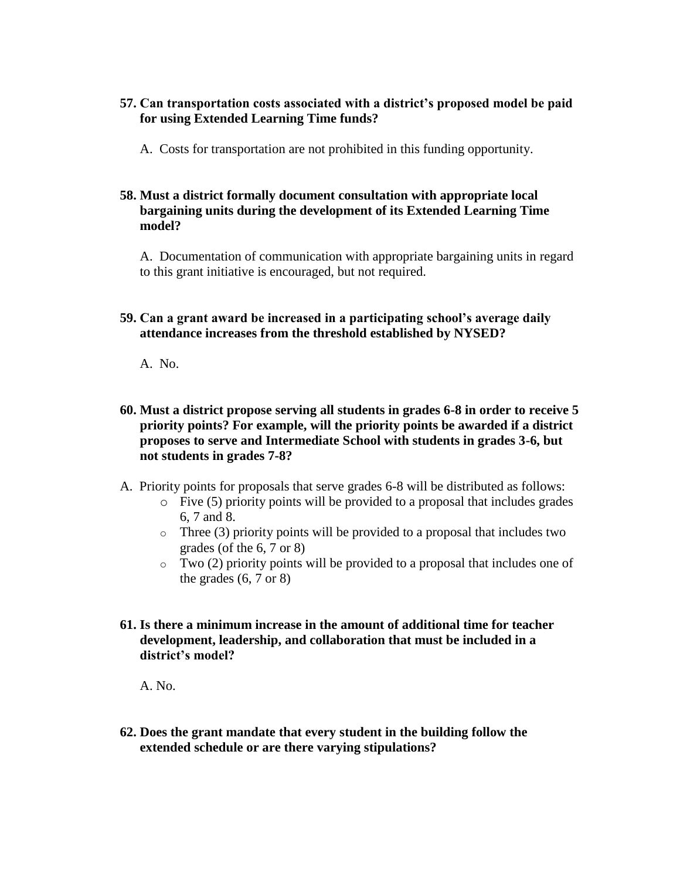# **57. Can transportation costs associated with a district's proposed model be paid for using Extended Learning Time funds?**

A. Costs for transportation are not prohibited in this funding opportunity.

## **58. Must a district formally document consultation with appropriate local bargaining units during the development of its Extended Learning Time model?**

A. Documentation of communication with appropriate bargaining units in regard to this grant initiative is encouraged, but not required.

**59. Can a grant award be increased in a participating school's average daily attendance increases from the threshold established by NYSED?**

A. No.

- **60. Must a district propose serving all students in grades 6-8 in order to receive 5 priority points? For example, will the priority points be awarded if a district proposes to serve and Intermediate School with students in grades 3-6, but not students in grades 7-8?**
- A. Priority points for proposals that serve grades 6-8 will be distributed as follows:
	- $\circ$  Five (5) priority points will be provided to a proposal that includes grades 6, 7 and 8.
	- $\circ$  Three (3) priority points will be provided to a proposal that includes two grades (of the 6, 7 or 8)
	- $\circ$  Two (2) priority points will be provided to a proposal that includes one of the grades  $(6, 7 \text{ or } 8)$
- **61. Is there a minimum increase in the amount of additional time for teacher development, leadership, and collaboration that must be included in a district's model?**

A. No.

**62. Does the grant mandate that every student in the building follow the extended schedule or are there varying stipulations?**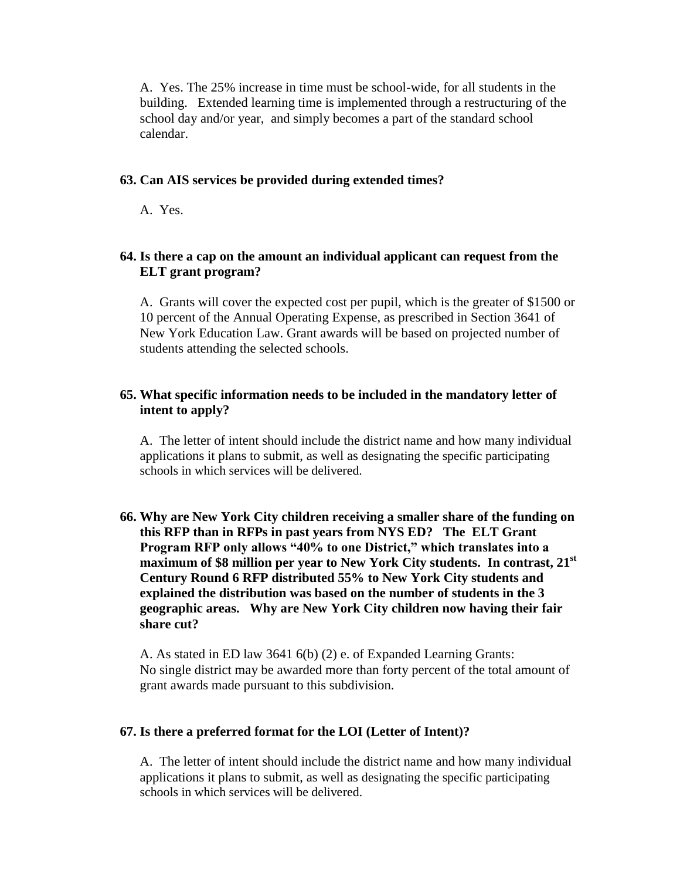A. Yes. The 25% increase in time must be school-wide, for all students in the building. Extended learning time is implemented through a restructuring of the school day and/or year, and simply becomes a part of the standard school calendar.

#### **63. Can AIS services be provided during extended times?**

A. Yes.

#### **64. Is there a cap on the amount an individual applicant can request from the ELT grant program?**

A. Grants will cover the expected cost per pupil, which is the greater of \$1500 or 10 percent of the Annual Operating Expense, as prescribed in Section 3641 of New York Education Law. Grant awards will be based on projected number of students attending the selected schools.

#### **65. What specific information needs to be included in the mandatory letter of intent to apply?**

A. The letter of intent should include the district name and how many individual applications it plans to submit, as well as designating the specific participating schools in which services will be delivered.

**66. Why are New York City children receiving a smaller share of the funding on this RFP than in RFPs in past years from NYS ED? The ELT Grant Program RFP only allows "40% to one District," which translates into a maximum of \$8 million per year to New York City students. In contrast, 21st Century Round 6 RFP distributed 55% to New York City students and explained the distribution was based on the number of students in the 3 geographic areas. Why are New York City children now having their fair share cut?** 

A. As stated in ED law 3641 6(b) (2) e. of Expanded Learning Grants: No single district may be awarded more than forty percent of the total amount of grant awards made pursuant to this subdivision.

#### **67. Is there a preferred format for the LOI (Letter of Intent)?**

A. The letter of intent should include the district name and how many individual applications it plans to submit, as well as designating the specific participating schools in which services will be delivered.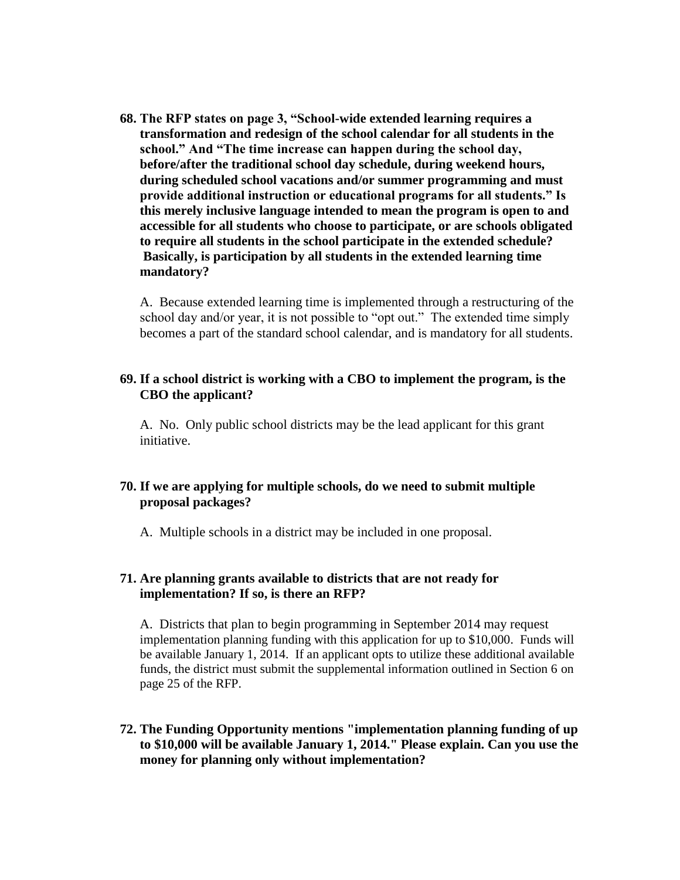**68. The RFP states on page 3, "School-wide extended learning requires a transformation and redesign of the school calendar for all students in the school." And "The time increase can happen during the school day, before/after the traditional school day schedule, during weekend hours, during scheduled school vacations and/or summer programming and must provide additional instruction or educational programs for all students." Is this merely inclusive language intended to mean the program is open to and accessible for all students who choose to participate, or are schools obligated to require all students in the school participate in the extended schedule? Basically, is participation by all students in the extended learning time mandatory?**

A. Because extended learning time is implemented through a restructuring of the school day and/or year, it is not possible to "opt out." The extended time simply becomes a part of the standard school calendar, and is mandatory for all students.

#### **69. If a school district is working with a CBO to implement the program, is the CBO the applicant?**

A. No. Only public school districts may be the lead applicant for this grant initiative.

# **70. If we are applying for multiple schools, do we need to submit multiple proposal packages?**

A. Multiple schools in a district may be included in one proposal.

#### **71. Are planning grants available to districts that are not ready for implementation? If so, is there an RFP?**

A. Districts that plan to begin programming in September 2014 may request implementation planning funding with this application for up to \$10,000. Funds will be available January 1, 2014. If an applicant opts to utilize these additional available funds, the district must submit the supplemental information outlined in Section 6 on page 25 of the RFP.

**72. The Funding Opportunity mentions "implementation planning funding of up to \$10,000 will be available January 1, 2014." Please explain. Can you use the money for planning only without implementation?**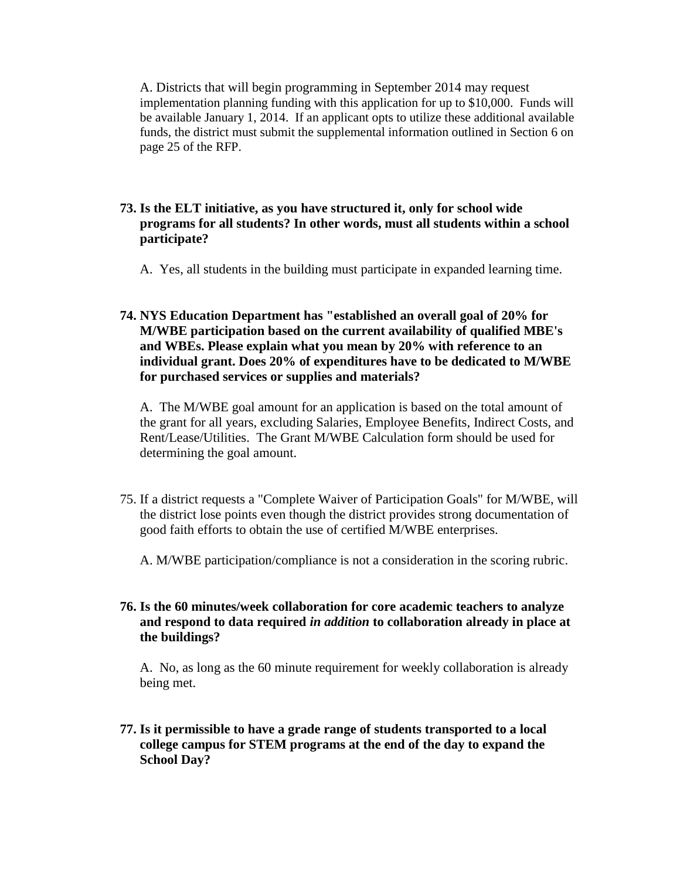A. Districts that will begin programming in September 2014 may request implementation planning funding with this application for up to \$10,000. Funds will be available January 1, 2014. If an applicant opts to utilize these additional available funds, the district must submit the supplemental information outlined in Section 6 on page 25 of the RFP.

- **73. Is the ELT initiative, as you have structured it, only for school wide programs for all students? In other words, must all students within a school participate?**
	- A. Yes, all students in the building must participate in expanded learning time.

# **74. NYS Education Department has "established an overall goal of 20% for M/WBE participation based on the current availability of qualified MBE's and WBEs. Please explain what you mean by 20% with reference to an individual grant. Does 20% of expenditures have to be dedicated to M/WBE for purchased services or supplies and materials?**

A. The M/WBE goal amount for an application is based on the total amount of the grant for all years, excluding Salaries, Employee Benefits, Indirect Costs, and Rent/Lease/Utilities. The Grant M/WBE Calculation form should be used for determining the goal amount.

75. If a district requests a "Complete Waiver of Participation Goals" for M/WBE, will the district lose points even though the district provides strong documentation of good faith efforts to obtain the use of certified M/WBE enterprises.

A. M/WBE participation/compliance is not a consideration in the scoring rubric.

### **76. Is the 60 minutes/week collaboration for core academic teachers to analyze and respond to data required** *in addition* **to collaboration already in place at the buildings?**

A. No, as long as the 60 minute requirement for weekly collaboration is already being met.

**77. Is it permissible to have a grade range of students transported to a local college campus for STEM programs at the end of the day to expand the School Day?**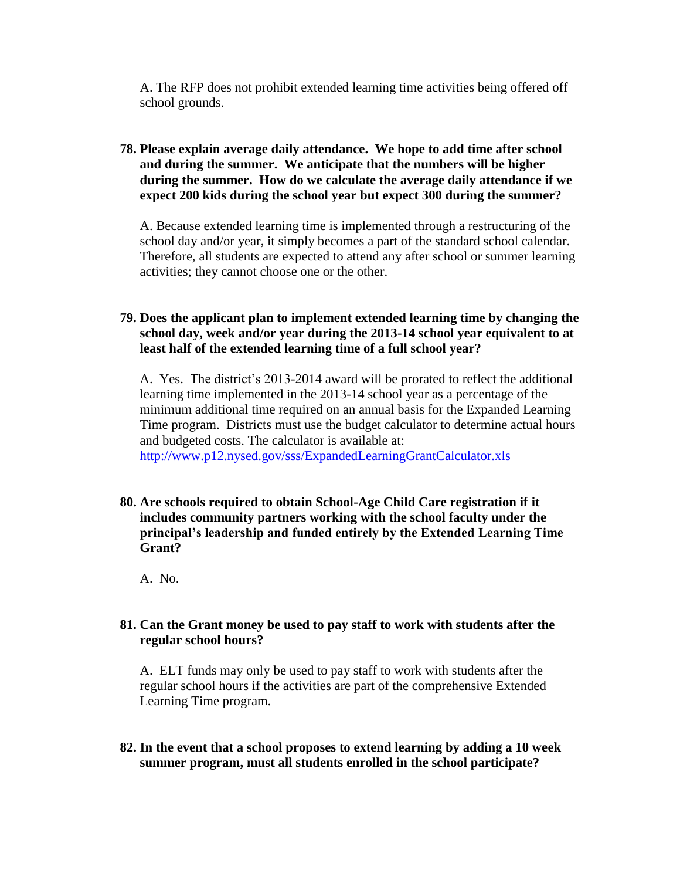A. The RFP does not prohibit extended learning time activities being offered off school grounds.

# **78. Please explain average daily attendance. We hope to add time after school and during the summer. We anticipate that the numbers will be higher during the summer. How do we calculate the average daily attendance if we expect 200 kids during the school year but expect 300 during the summer?**

A. Because extended learning time is implemented through a restructuring of the school day and/or year, it simply becomes a part of the standard school calendar. Therefore, all students are expected to attend any after school or summer learning activities; they cannot choose one or the other.

# **79. Does the applicant plan to implement extended learning time by changing the school day, week and/or year during the 2013-14 school year equivalent to at least half of the extended learning time of a full school year?**

A. Yes. The district's 2013-2014 award will be prorated to reflect the additional learning time implemented in the 2013-14 school year as a percentage of the minimum additional time required on an annual basis for the Expanded Learning Time program. Districts must use the budget calculator to determine actual hours and budgeted costs. The calculator is available at: http://www.p12.nysed.gov/sss/ExpandedLearningGrantCalculator.xls

**80. Are schools required to obtain School-Age Child Care registration if it includes community partners working with the school faculty under the principal's leadership and funded entirely by the Extended Learning Time Grant?**

A. No.

#### **81. Can the Grant money be used to pay staff to work with students after the regular school hours?**

A. ELT funds may only be used to pay staff to work with students after the regular school hours if the activities are part of the comprehensive Extended Learning Time program.

**82. In the event that a school proposes to extend learning by adding a 10 week summer program, must all students enrolled in the school participate?**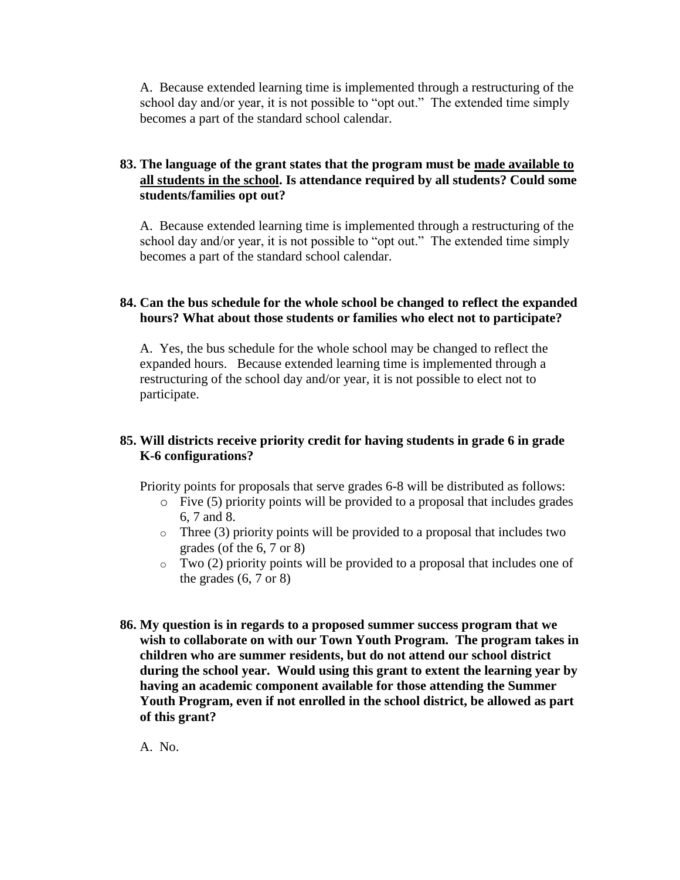A. Because extended learning time is implemented through a restructuring of the school day and/or year, it is not possible to "opt out." The extended time simply becomes a part of the standard school calendar.

# **83. The language of the grant states that the program must be made available to all students in the school. Is attendance required by all students? Could some students/families opt out?**

A. Because extended learning time is implemented through a restructuring of the school day and/or year, it is not possible to "opt out." The extended time simply becomes a part of the standard school calendar.

# **84. Can the bus schedule for the whole school be changed to reflect the expanded hours? What about those students or families who elect not to participate?**

A. Yes, the bus schedule for the whole school may be changed to reflect the expanded hours. Because extended learning time is implemented through a restructuring of the school day and/or year, it is not possible to elect not to participate.

# **85. Will districts receive priority credit for having students in grade 6 in grade K-6 configurations?**

Priority points for proposals that serve grades 6-8 will be distributed as follows:

- $\circ$  Five (5) priority points will be provided to a proposal that includes grades 6, 7 and 8.
- $\circ$  Three (3) priority points will be provided to a proposal that includes two grades (of the 6, 7 or 8)
- $\circ$  Two (2) priority points will be provided to a proposal that includes one of the grades  $(6, 7 \text{ or } 8)$
- **86. My question is in regards to a proposed summer success program that we wish to collaborate on with our Town Youth Program. The program takes in children who are summer residents, but do not attend our school district during the school year. Would using this grant to extent the learning year by having an academic component available for those attending the Summer Youth Program, even if not enrolled in the school district, be allowed as part of this grant?**

A. No.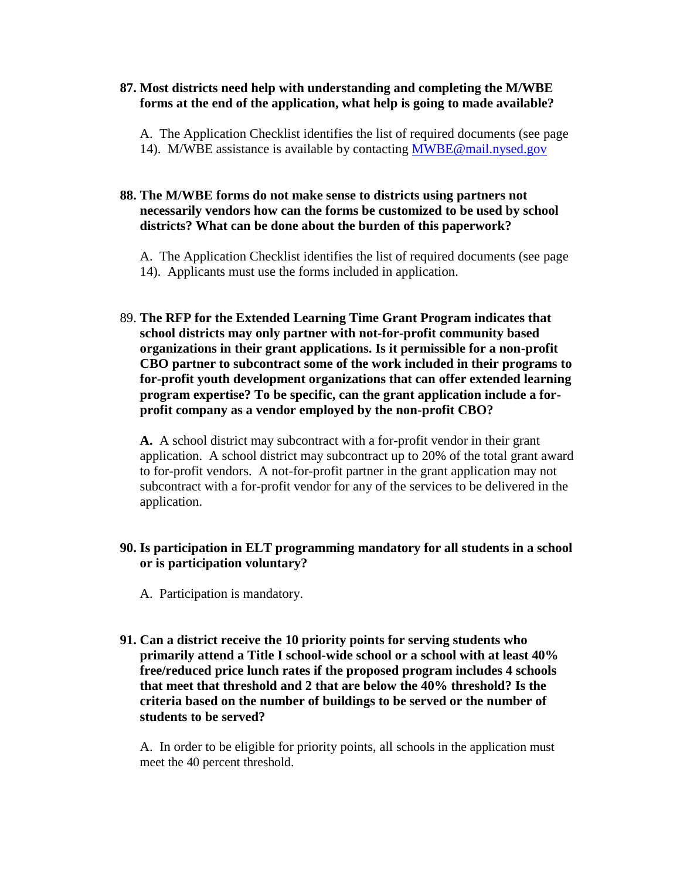#### **87. Most districts need help with understanding and completing the M/WBE forms at the end of the application, what help is going to made available?**

A. The Application Checklist identifies the list of required documents (see page 14). M/WBE assistance is available by contacting [MWBE@mail.nysed.gov](mailto:MWBE@mail.nysed.gov)

#### **88. The M/WBE forms do not make sense to districts using partners not necessarily vendors how can the forms be customized to be used by school districts? What can be done about the burden of this paperwork?**

A. The Application Checklist identifies the list of required documents (see page 14). Applicants must use the forms included in application.

89. **The RFP for the Extended Learning Time Grant Program indicates that school districts may only partner with not-for-profit community based organizations in their grant applications. Is it permissible for a non-profit CBO partner to subcontract some of the work included in their programs to for-profit youth development organizations that can offer extended learning program expertise? To be specific, can the grant application include a forprofit company as a vendor employed by the non-profit CBO?**

**A.** A school district may subcontract with a for-profit vendor in their grant application. A school district may subcontract up to 20% of the total grant award to for-profit vendors. A not-for-profit partner in the grant application may not subcontract with a for-profit vendor for any of the services to be delivered in the application.

# **90. Is participation in ELT programming mandatory for all students in a school or is participation voluntary?**

A. Participation is mandatory.

**91. Can a district receive the 10 priority points for serving students who primarily attend a Title I school-wide school or a school with at least 40% free/reduced price lunch rates if the proposed program includes 4 schools that meet that threshold and 2 that are below the 40% threshold? Is the criteria based on the number of buildings to be served or the number of students to be served?**

A. In order to be eligible for priority points, all schools in the application must meet the 40 percent threshold.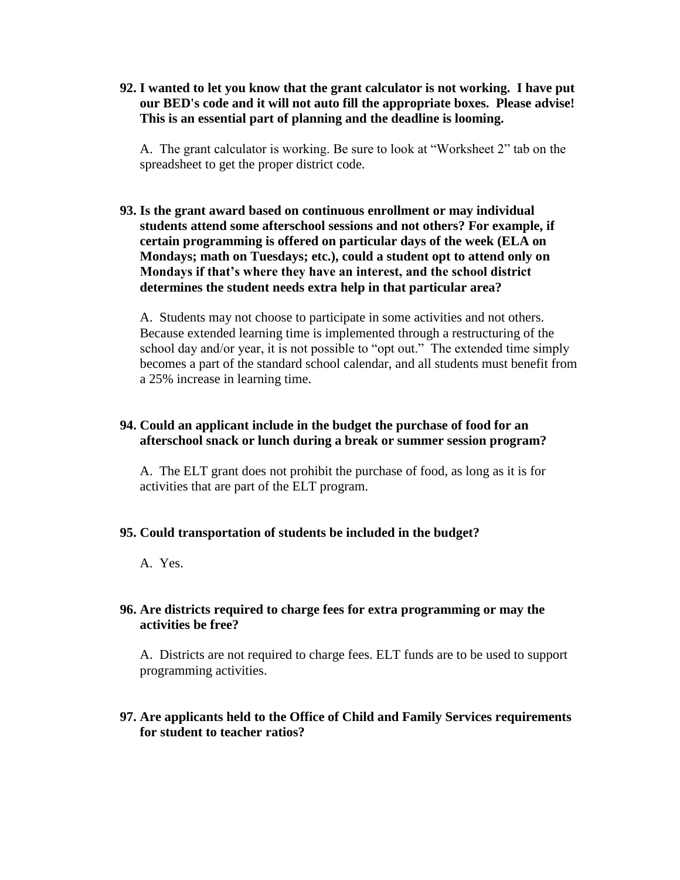**92. I wanted to let you know that the grant calculator is not working. I have put our BED's code and it will not auto fill the appropriate boxes. Please advise! This is an essential part of planning and the deadline is looming.**

A. The grant calculator is working. Be sure to look at "Worksheet 2" tab on the spreadsheet to get the proper district code.

**93. Is the grant award based on continuous enrollment or may individual students attend some afterschool sessions and not others? For example, if certain programming is offered on particular days of the week (ELA on Mondays; math on Tuesdays; etc.), could a student opt to attend only on Mondays if that's where they have an interest, and the school district determines the student needs extra help in that particular area?**

A. Students may not choose to participate in some activities and not others. Because extended learning time is implemented through a restructuring of the school day and/or year, it is not possible to "opt out." The extended time simply becomes a part of the standard school calendar, and all students must benefit from a 25% increase in learning time.

#### **94. Could an applicant include in the budget the purchase of food for an afterschool snack or lunch during a break or summer session program?**

A. The ELT grant does not prohibit the purchase of food, as long as it is for activities that are part of the ELT program.

#### **95. Could transportation of students be included in the budget?**

A. Yes.

# **96. Are districts required to charge fees for extra programming or may the activities be free?**

A. Districts are not required to charge fees. ELT funds are to be used to support programming activities.

# **97. Are applicants held to the Office of Child and Family Services requirements for student to teacher ratios?**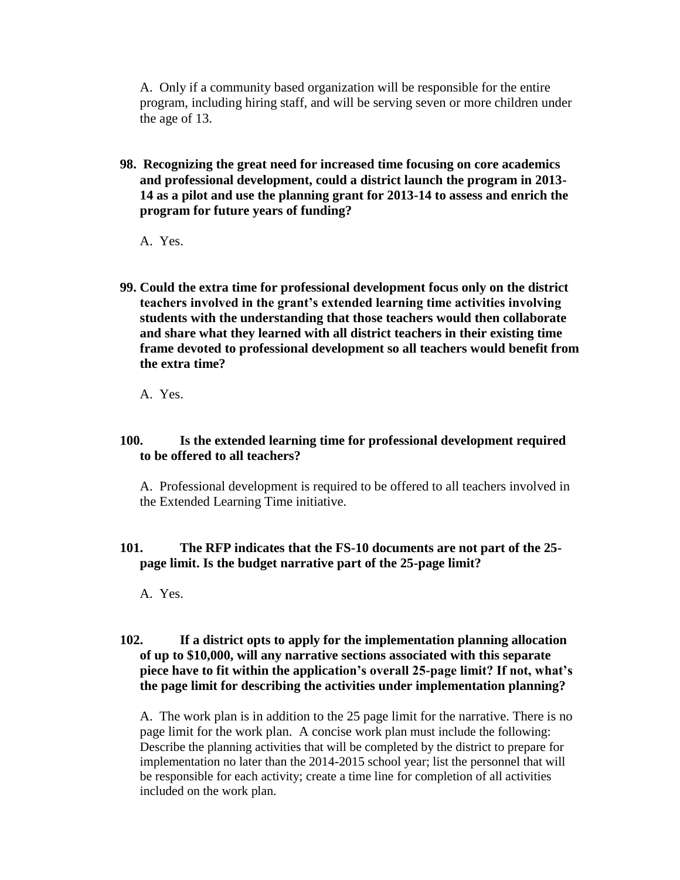A. Only if a community based organization will be responsible for the entire program, including hiring staff, and will be serving seven or more children under the age of 13.

- **98. Recognizing the great need for increased time focusing on core academics and professional development, could a district launch the program in 2013- 14 as a pilot and use the planning grant for 2013-14 to assess and enrich the program for future years of funding?** 
	- A. Yes.
- **99. Could the extra time for professional development focus only on the district teachers involved in the grant's extended learning time activities involving students with the understanding that those teachers would then collaborate and share what they learned with all district teachers in their existing time frame devoted to professional development so all teachers would benefit from the extra time?**
	- A. Yes.

# **100. Is the extended learning time for professional development required to be offered to all teachers?**

A. Professional development is required to be offered to all teachers involved in the Extended Learning Time initiative.

# **101. The RFP indicates that the FS-10 documents are not part of the 25 page limit. Is the budget narrative part of the 25-page limit?**

A. Yes.

#### **102. If a district opts to apply for the implementation planning allocation of up to \$10,000, will any narrative sections associated with this separate piece have to fit within the application's overall 25-page limit? If not, what's the page limit for describing the activities under implementation planning?**

A. The work plan is in addition to the 25 page limit for the narrative. There is no page limit for the work plan. A concise work plan must include the following: Describe the planning activities that will be completed by the district to prepare for implementation no later than the 2014-2015 school year; list the personnel that will be responsible for each activity; create a time line for completion of all activities included on the work plan.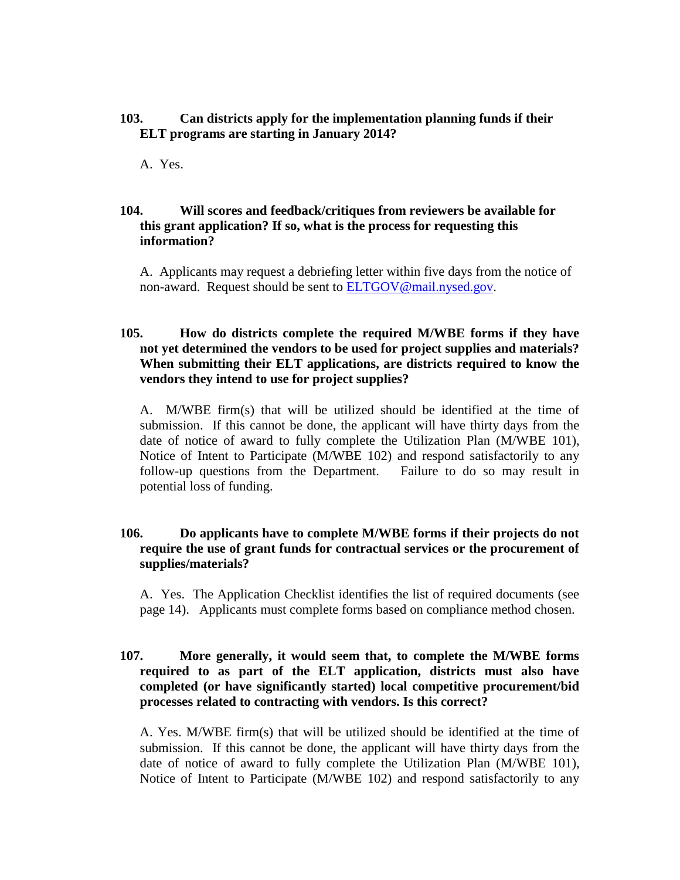### **103. Can districts apply for the implementation planning funds if their ELT programs are starting in January 2014?**

A. Yes.

# **104. Will scores and feedback/critiques from reviewers be available for this grant application? If so, what is the process for requesting this information?**

A. Applicants may request a debriefing letter within five days from the notice of non-award. Request should be sent to **ELTGOV@mail.nysed.gov.** 

# **105. How do districts complete the required M/WBE forms if they have not yet determined the vendors to be used for project supplies and materials? When submitting their ELT applications, are districts required to know the vendors they intend to use for project supplies?**

A. M/WBE firm(s) that will be utilized should be identified at the time of submission. If this cannot be done, the applicant will have thirty days from the date of notice of award to fully complete the Utilization Plan (M/WBE 101), Notice of Intent to Participate (M/WBE 102) and respond satisfactorily to any follow-up questions from the Department. Failure to do so may result in potential loss of funding.

# **106. Do applicants have to complete M/WBE forms if their projects do not require the use of grant funds for contractual services or the procurement of supplies/materials?**

A. Yes. The Application Checklist identifies the list of required documents (see page 14). Applicants must complete forms based on compliance method chosen.

# **107. More generally, it would seem that, to complete the M/WBE forms required to as part of the ELT application, districts must also have completed (or have significantly started) local competitive procurement/bid processes related to contracting with vendors. Is this correct?**

A. Yes. M/WBE firm(s) that will be utilized should be identified at the time of submission. If this cannot be done, the applicant will have thirty days from the date of notice of award to fully complete the Utilization Plan (M/WBE 101), Notice of Intent to Participate (M/WBE 102) and respond satisfactorily to any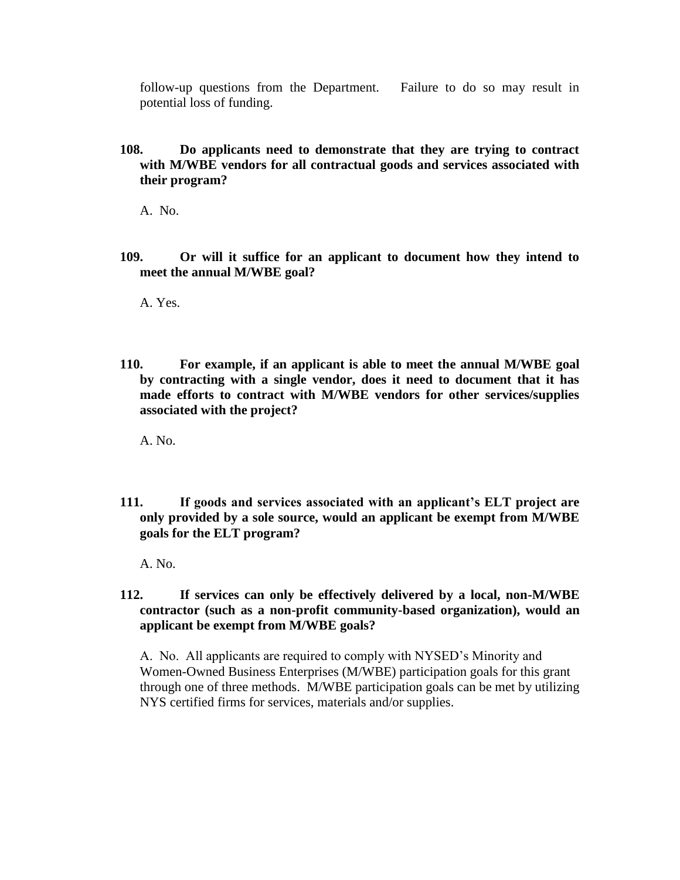follow-up questions from the Department. Failure to do so may result in potential loss of funding.

**108. Do applicants need to demonstrate that they are trying to contract with M/WBE vendors for all contractual goods and services associated with their program?** 

A. No.

**109. Or will it suffice for an applicant to document how they intend to meet the annual M/WBE goal?**

A. Yes.

**110. For example, if an applicant is able to meet the annual M/WBE goal by contracting with a single vendor, does it need to document that it has made efforts to contract with M/WBE vendors for other services/supplies associated with the project?**

A. No.

**111. If goods and services associated with an applicant's ELT project are only provided by a sole source, would an applicant be exempt from M/WBE goals for the ELT program?** 

A. No.

**112. If services can only be effectively delivered by a local, non-M/WBE contractor (such as a non-profit community-based organization), would an applicant be exempt from M/WBE goals?** 

A. No. All applicants are required to comply with NYSED's Minority and Women-Owned Business Enterprises (M/WBE) participation goals for this grant through one of three methods. M/WBE participation goals can be met by utilizing NYS certified firms for services, materials and/or supplies.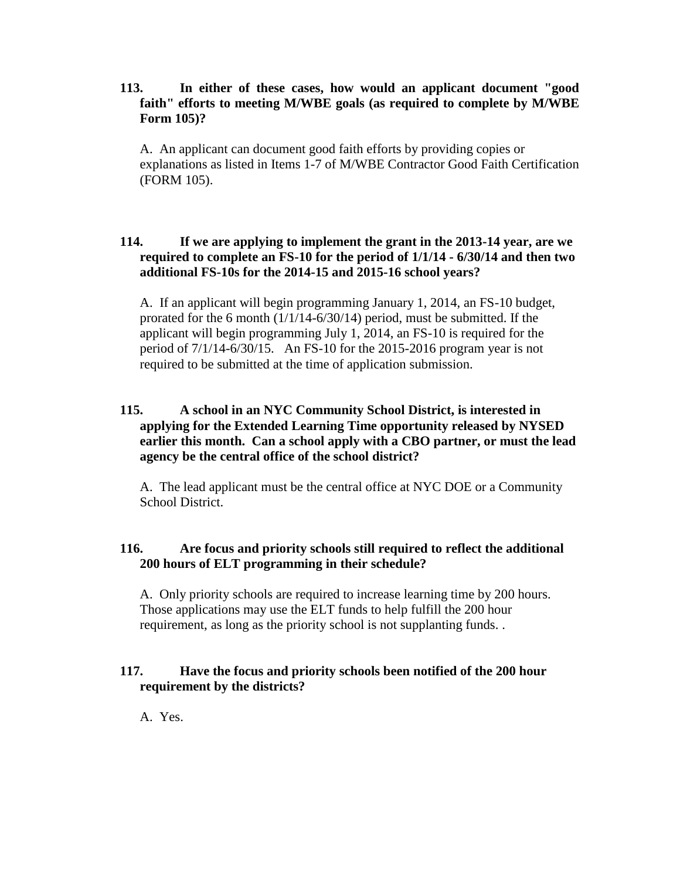### **113. In either of these cases, how would an applicant document "good faith" efforts to meeting M/WBE goals (as required to complete by M/WBE Form 105)?**

A. An applicant can document good faith efforts by providing copies or explanations as listed in Items 1-7 of M/WBE Contractor Good Faith Certification (FORM 105).

# **114. If we are applying to implement the grant in the 2013-14 year, are we required to complete an FS-10 for the period of 1/1/14 - 6/30/14 and then two additional FS-10s for the 2014-15 and 2015-16 school years?**

A. If an applicant will begin programming January 1, 2014, an FS-10 budget, prorated for the 6 month (1/1/14-6/30/14) period, must be submitted. If the applicant will begin programming July 1, 2014, an FS-10 is required for the period of 7/1/14-6/30/15. An FS-10 for the 2015-2016 program year is not required to be submitted at the time of application submission.

# **115. A school in an NYC Community School District, is interested in applying for the Extended Learning Time opportunity released by NYSED earlier this month. Can a school apply with a CBO partner, or must the lead agency be the central office of the school district?**

A. The lead applicant must be the central office at NYC DOE or a Community School District.

# **116. Are focus and priority schools still required to reflect the additional 200 hours of ELT programming in their schedule?**

A. Only priority schools are required to increase learning time by 200 hours. Those applications may use the ELT funds to help fulfill the 200 hour requirement, as long as the priority school is not supplanting funds. .

# **117. Have the focus and priority schools been notified of the 200 hour requirement by the districts?**

A. Yes.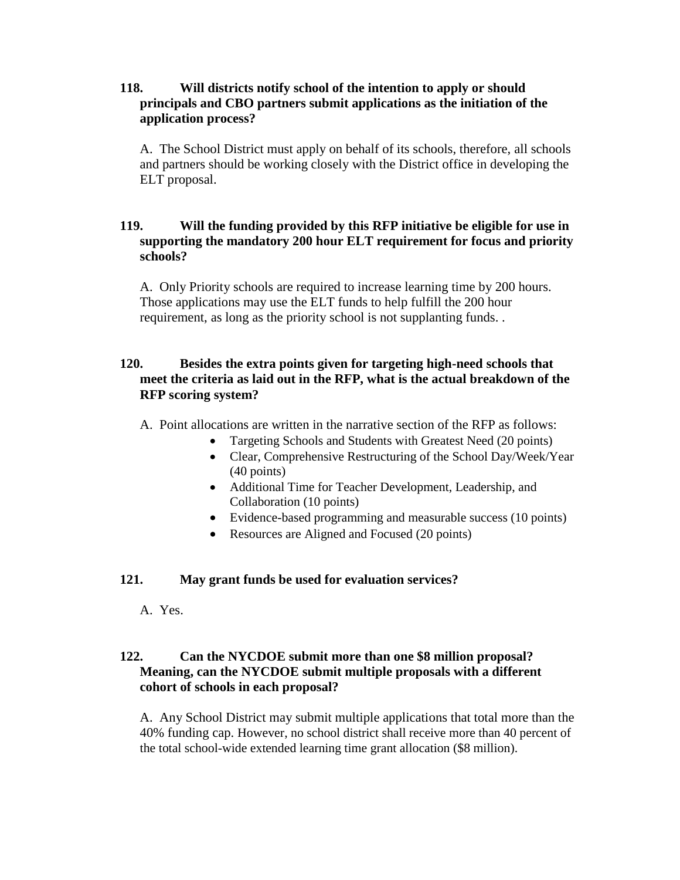# **118. Will districts notify school of the intention to apply or should principals and CBO partners submit applications as the initiation of the application process?**

A. The School District must apply on behalf of its schools, therefore, all schools and partners should be working closely with the District office in developing the ELT proposal.

# **119. Will the funding provided by this RFP initiative be eligible for use in supporting the mandatory 200 hour ELT requirement for focus and priority schools?**

A. Only Priority schools are required to increase learning time by 200 hours. Those applications may use the ELT funds to help fulfill the 200 hour requirement, as long as the priority school is not supplanting funds. .

# **120. Besides the extra points given for targeting high-need schools that meet the criteria as laid out in the RFP, what is the actual breakdown of the RFP scoring system?**

A. Point allocations are written in the narrative section of the RFP as follows:

- Targeting Schools and Students with Greatest Need (20 points)
- Clear, Comprehensive Restructuring of the School Day/Week/Year (40 points)
- Additional Time for Teacher Development, Leadership, and Collaboration (10 points)
- Evidence-based programming and measurable success (10 points)
- Resources are Aligned and Focused (20 points)

# **121. May grant funds be used for evaluation services?**

A. Yes.

# **122. Can the NYCDOE submit more than one \$8 million proposal? Meaning, can the NYCDOE submit multiple proposals with a different cohort of schools in each proposal?**

A. Any School District may submit multiple applications that total more than the 40% funding cap. However, no school district shall receive more than 40 percent of the total school-wide extended learning time grant allocation (\$8 million).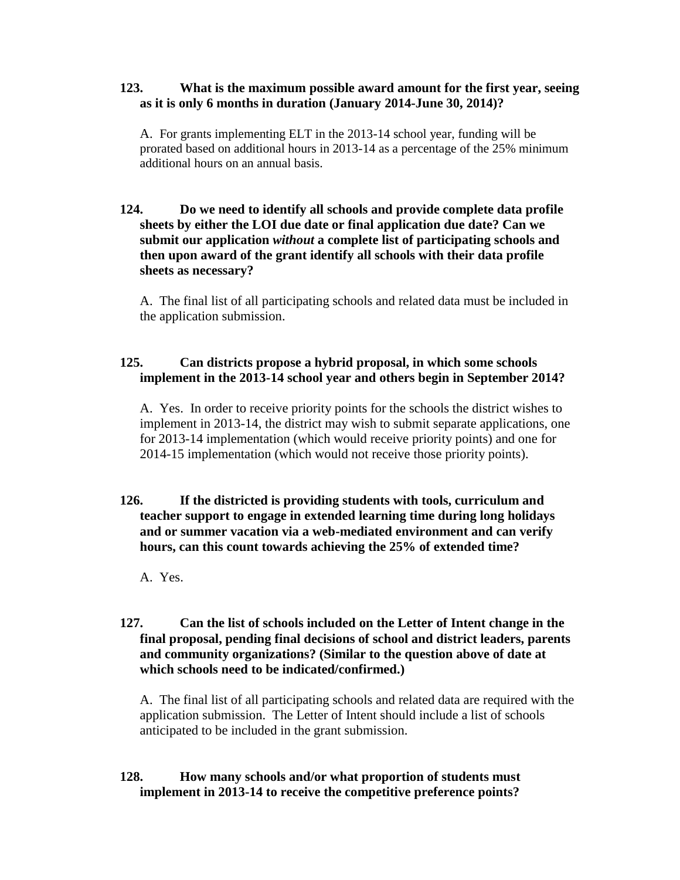#### **123. What is the maximum possible award amount for the first year, seeing as it is only 6 months in duration (January 2014-June 30, 2014)?**

A. For grants implementing ELT in the 2013-14 school year, funding will be prorated based on additional hours in 2013-14 as a percentage of the 25% minimum additional hours on an annual basis.

# **124. Do we need to identify all schools and provide complete data profile sheets by either the LOI due date or final application due date? Can we submit our application** *without* **a complete list of participating schools and then upon award of the grant identify all schools with their data profile sheets as necessary?**

A. The final list of all participating schools and related data must be included in the application submission.

# **125. Can districts propose a hybrid proposal, in which some schools implement in the 2013-14 school year and others begin in September 2014?**

A. Yes. In order to receive priority points for the schools the district wishes to implement in 2013-14, the district may wish to submit separate applications, one for 2013-14 implementation (which would receive priority points) and one for 2014-15 implementation (which would not receive those priority points).

# **126. If the districted is providing students with tools, curriculum and teacher support to engage in extended learning time during long holidays and or summer vacation via a web-mediated environment and can verify hours, can this count towards achieving the 25% of extended time?**

A. Yes.

# **127. Can the list of schools included on the Letter of Intent change in the final proposal, pending final decisions of school and district leaders, parents and community organizations? (Similar to the question above of date at which schools need to be indicated/confirmed.)**

A. The final list of all participating schools and related data are required with the application submission. The Letter of Intent should include a list of schools anticipated to be included in the grant submission.

# **128. How many schools and/or what proportion of students must implement in 2013-14 to receive the competitive preference points?**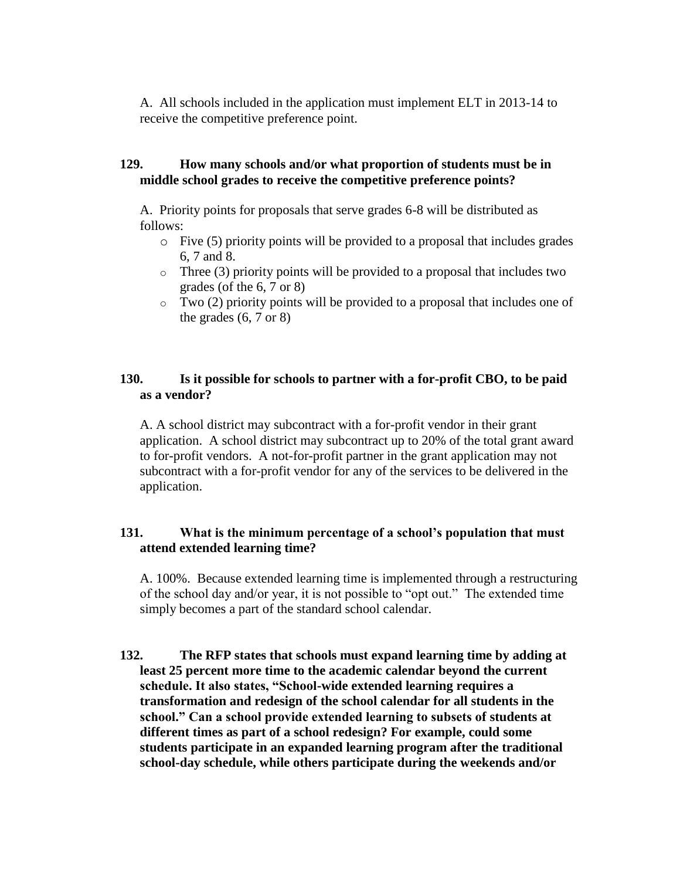A. All schools included in the application must implement ELT in 2013-14 to receive the competitive preference point.

# **129. How many schools and/or what proportion of students must be in middle school grades to receive the competitive preference points?**

A. Priority points for proposals that serve grades 6-8 will be distributed as follows:

- o Five (5) priority points will be provided to a proposal that includes grades 6, 7 and 8.
- $\circ$  Three (3) priority points will be provided to a proposal that includes two grades (of the 6, 7 or 8)
- $\circ$  Two (2) priority points will be provided to a proposal that includes one of the grades  $(6, 7 \text{ or } 8)$

# **130. Is it possible for schools to partner with a for-profit CBO, to be paid as a vendor?**

A. A school district may subcontract with a for-profit vendor in their grant application. A school district may subcontract up to 20% of the total grant award to for-profit vendors. A not-for-profit partner in the grant application may not subcontract with a for-profit vendor for any of the services to be delivered in the application.

# **131. What is the minimum percentage of a school's population that must attend extended learning time?**

A. 100%. Because extended learning time is implemented through a restructuring of the school day and/or year, it is not possible to "opt out." The extended time simply becomes a part of the standard school calendar.

**132. The RFP states that schools must expand learning time by adding at least 25 percent more time to the academic calendar beyond the current schedule. It also states, "School-wide extended learning requires a transformation and redesign of the school calendar for all students in the school." Can a school provide extended learning to subsets of students at different times as part of a school redesign? For example, could some students participate in an expanded learning program after the traditional school-day schedule, while others participate during the weekends and/or**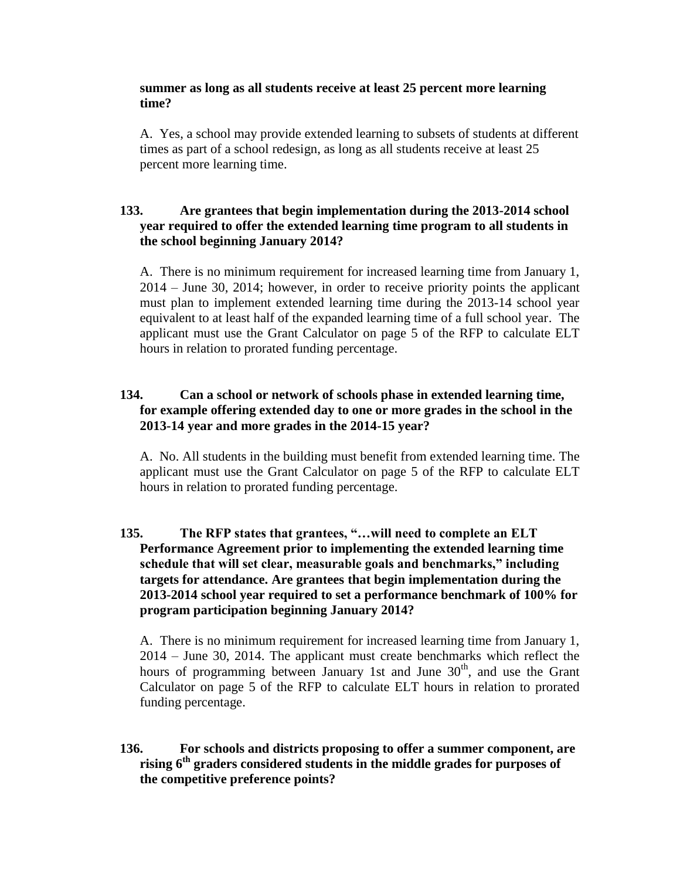#### **summer as long as all students receive at least 25 percent more learning time?**

A. Yes, a school may provide extended learning to subsets of students at different times as part of a school redesign, as long as all students receive at least 25 percent more learning time.

# **133. Are grantees that begin implementation during the 2013-2014 school year required to offer the extended learning time program to all students in the school beginning January 2014?**

A. There is no minimum requirement for increased learning time from January 1, 2014 – June 30, 2014; however, in order to receive priority points the applicant must plan to implement extended learning time during the 2013-14 school year equivalent to at least half of the expanded learning time of a full school year. The applicant must use the Grant Calculator on page 5 of the RFP to calculate ELT hours in relation to prorated funding percentage.

# **134. Can a school or network of schools phase in extended learning time, for example offering extended day to one or more grades in the school in the 2013-14 year and more grades in the 2014-15 year?**

A. No. All students in the building must benefit from extended learning time. The applicant must use the Grant Calculator on page 5 of the RFP to calculate ELT hours in relation to prorated funding percentage.

# **135. The RFP states that grantees, "…will need to complete an ELT Performance Agreement prior to implementing the extended learning time schedule that will set clear, measurable goals and benchmarks," including targets for attendance. Are grantees that begin implementation during the 2013-2014 school year required to set a performance benchmark of 100% for program participation beginning January 2014?**

A. There is no minimum requirement for increased learning time from January 1, 2014 – June 30, 2014. The applicant must create benchmarks which reflect the hours of programming between January 1st and June  $30<sup>th</sup>$ , and use the Grant Calculator on page 5 of the RFP to calculate ELT hours in relation to prorated funding percentage.

**136. For schools and districts proposing to offer a summer component, are rising 6th graders considered students in the middle grades for purposes of the competitive preference points?**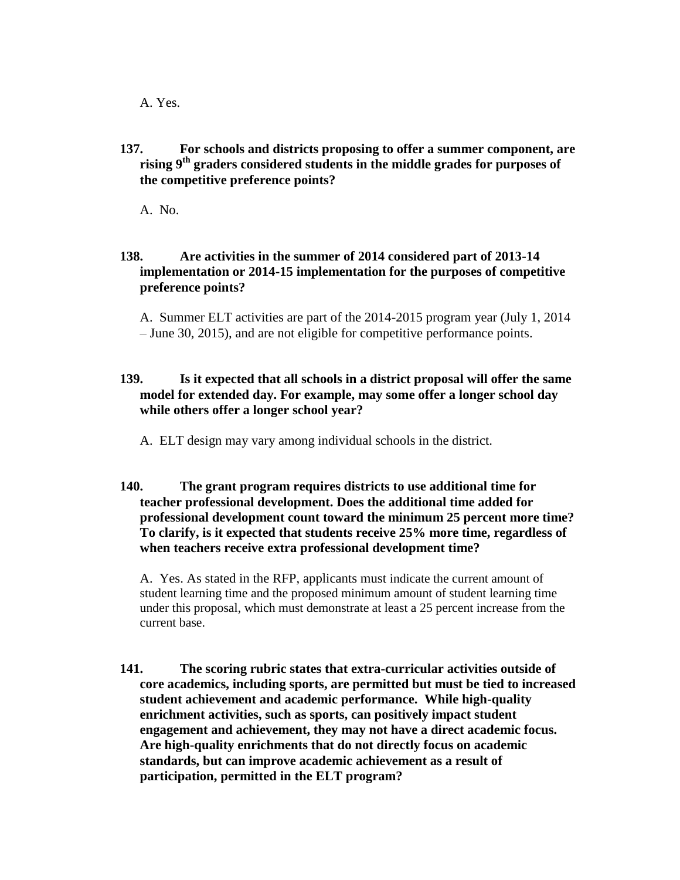A. Yes.

**137. For schools and districts proposing to offer a summer component, are rising 9th graders considered students in the middle grades for purposes of the competitive preference points?**

A. No.

# **138. Are activities in the summer of 2014 considered part of 2013-14 implementation or 2014-15 implementation for the purposes of competitive preference points?**

A. Summer ELT activities are part of the 2014-2015 program year (July 1, 2014 – June 30, 2015), and are not eligible for competitive performance points.

# **139. Is it expected that all schools in a district proposal will offer the same model for extended day. For example, may some offer a longer school day while others offer a longer school year?**

A. ELT design may vary among individual schools in the district.

# **140. The grant program requires districts to use additional time for teacher professional development. Does the additional time added for professional development count toward the minimum 25 percent more time? To clarify, is it expected that students receive 25% more time, regardless of when teachers receive extra professional development time?**

A. Yes. As stated in the RFP, applicants must indicate the current amount of student learning time and the proposed minimum amount of student learning time under this proposal, which must demonstrate at least a 25 percent increase from the current base.

**141. The scoring rubric states that extra-curricular activities outside of core academics, including sports, are permitted but must be tied to increased student achievement and academic performance. While high-quality enrichment activities, such as sports, can positively impact student engagement and achievement, they may not have a direct academic focus. Are high-quality enrichments that do not directly focus on academic standards, but can improve academic achievement as a result of participation, permitted in the ELT program?**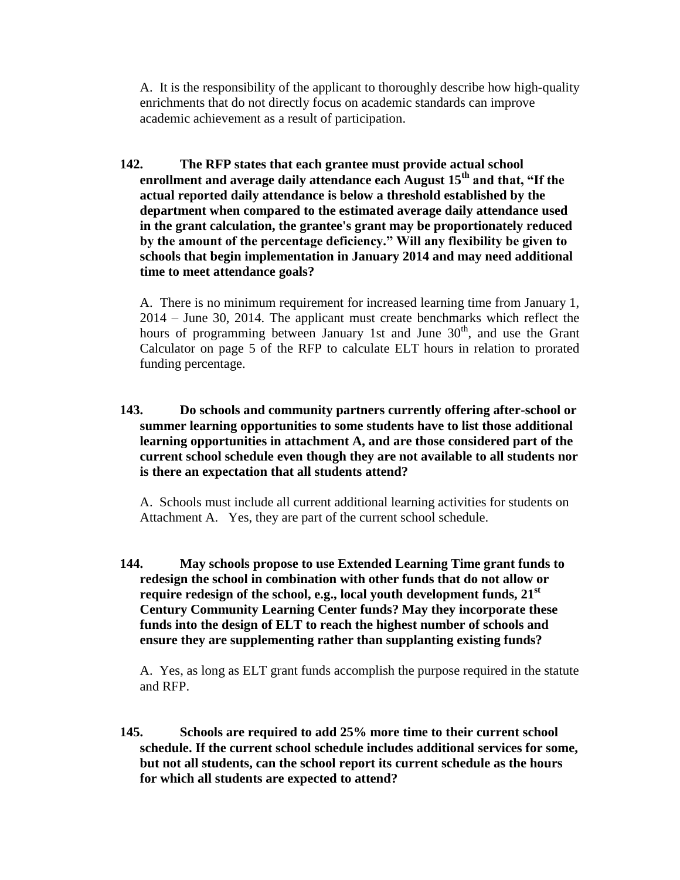A. It is the responsibility of the applicant to thoroughly describe how high-quality enrichments that do not directly focus on academic standards can improve academic achievement as a result of participation.

**142. The RFP states that each grantee must provide actual school enrollment and average daily attendance each August 15th and that, "If the actual reported daily attendance is below a threshold established by the department when compared to the estimated average daily attendance used in the grant calculation, the grantee's grant may be proportionately reduced by the amount of the percentage deficiency." Will any flexibility be given to schools that begin implementation in January 2014 and may need additional time to meet attendance goals?** 

A. There is no minimum requirement for increased learning time from January 1, 2014 – June 30, 2014. The applicant must create benchmarks which reflect the hours of programming between January 1st and June  $30<sup>th</sup>$ , and use the Grant Calculator on page 5 of the RFP to calculate ELT hours in relation to prorated funding percentage.

**143. Do schools and community partners currently offering after-school or summer learning opportunities to some students have to list those additional learning opportunities in attachment A, and are those considered part of the current school schedule even though they are not available to all students nor is there an expectation that all students attend?**

A. Schools must include all current additional learning activities for students on Attachment A. Yes, they are part of the current school schedule.

**144. May schools propose to use Extended Learning Time grant funds to redesign the school in combination with other funds that do not allow or require redesign of the school, e.g., local youth development funds, 21st Century Community Learning Center funds? May they incorporate these funds into the design of ELT to reach the highest number of schools and ensure they are supplementing rather than supplanting existing funds?** 

A. Yes, as long as ELT grant funds accomplish the purpose required in the statute and RFP.

**145. Schools are required to add 25% more time to their current school schedule. If the current school schedule includes additional services for some, but not all students, can the school report its current schedule as the hours for which all students are expected to attend?**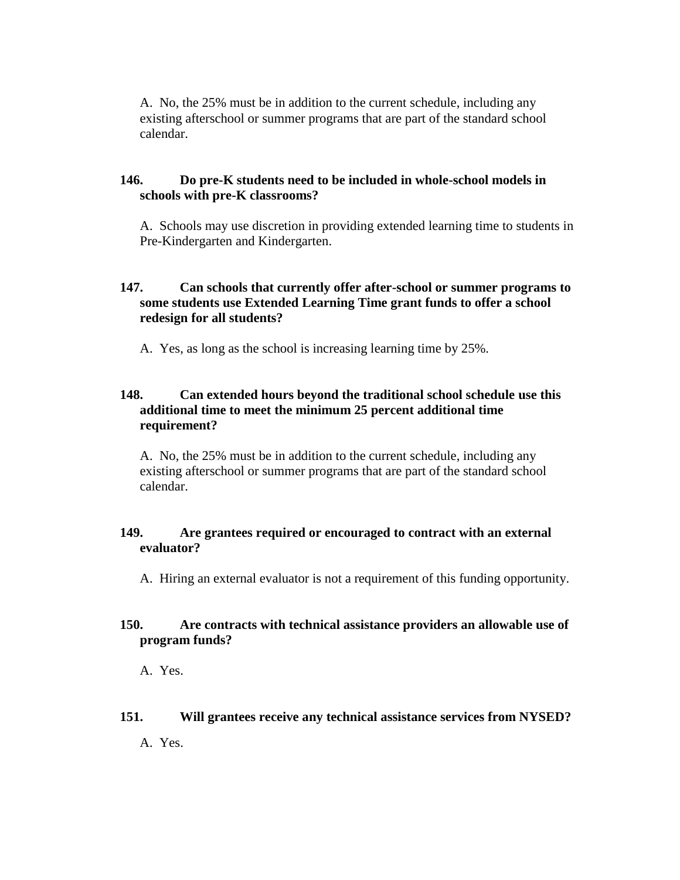A. No, the 25% must be in addition to the current schedule, including any existing afterschool or summer programs that are part of the standard school calendar.

### **146. Do pre-K students need to be included in whole-school models in schools with pre-K classrooms?**

A. Schools may use discretion in providing extended learning time to students in Pre-Kindergarten and Kindergarten.

# **147. Can schools that currently offer after-school or summer programs to some students use Extended Learning Time grant funds to offer a school redesign for all students?**

A. Yes, as long as the school is increasing learning time by 25%.

# **148. Can extended hours beyond the traditional school schedule use this additional time to meet the minimum 25 percent additional time requirement?**

A. No, the 25% must be in addition to the current schedule, including any existing afterschool or summer programs that are part of the standard school calendar.

# **149. Are grantees required or encouraged to contract with an external evaluator?**

A. Hiring an external evaluator is not a requirement of this funding opportunity.

# **150. Are contracts with technical assistance providers an allowable use of program funds?**

A. Yes.

#### **151. Will grantees receive any technical assistance services from NYSED?**

A. Yes.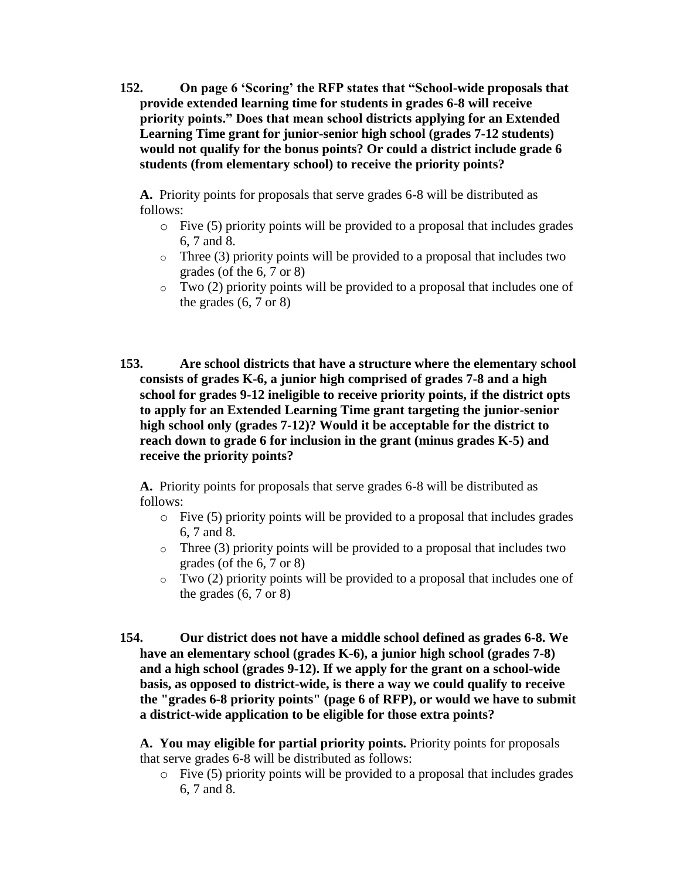**152. On page 6 'Scoring' the RFP states that "School-wide proposals that provide extended learning time for students in grades 6-8 will receive priority points." Does that mean school districts applying for an Extended Learning Time grant for junior-senior high school (grades 7-12 students) would not qualify for the bonus points? Or could a district include grade 6 students (from elementary school) to receive the priority points?**

**A.** Priority points for proposals that serve grades 6-8 will be distributed as follows:

- o Five (5) priority points will be provided to a proposal that includes grades 6, 7 and 8.
- $\circ$  Three (3) priority points will be provided to a proposal that includes two grades (of the 6, 7 or 8)
- $\circ$  Two (2) priority points will be provided to a proposal that includes one of the grades  $(6, 7 \text{ or } 8)$
- **153. Are school districts that have a structure where the elementary school consists of grades K-6, a junior high comprised of grades 7-8 and a high school for grades 9-12 ineligible to receive priority points, if the district opts to apply for an Extended Learning Time grant targeting the junior-senior high school only (grades 7-12)? Would it be acceptable for the district to reach down to grade 6 for inclusion in the grant (minus grades K-5) and receive the priority points?**

**A.** Priority points for proposals that serve grades 6-8 will be distributed as follows:

- o Five (5) priority points will be provided to a proposal that includes grades 6, 7 and 8.
- $\circ$  Three (3) priority points will be provided to a proposal that includes two grades (of the 6, 7 or 8)
- $\circ$  Two (2) priority points will be provided to a proposal that includes one of the grades  $(6, 7 \text{ or } 8)$
- **154. Our district does not have a middle school defined as grades 6-8. We have an elementary school (grades K-6), a junior high school (grades 7-8) and a high school (grades 9-12). If we apply for the grant on a school-wide basis, as opposed to district-wide, is there a way we could qualify to receive the "grades 6-8 priority points" (page 6 of RFP), or would we have to submit a district-wide application to be eligible for those extra points?**

**A. You may eligible for partial priority points.** Priority points for proposals that serve grades 6-8 will be distributed as follows:

o Five (5) priority points will be provided to a proposal that includes grades 6, 7 and 8.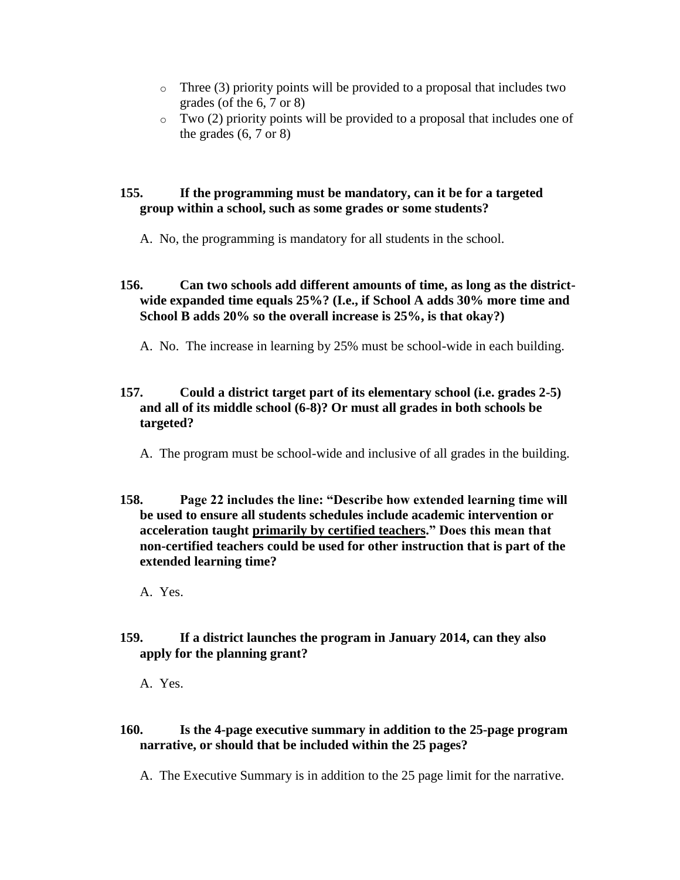- $\circ$  Three (3) priority points will be provided to a proposal that includes two grades (of the 6, 7 or 8)
- $\circ$  Two (2) priority points will be provided to a proposal that includes one of the grades  $(6, 7 \text{ or } 8)$

# **155. If the programming must be mandatory, can it be for a targeted group within a school, such as some grades or some students?**

A. No, the programming is mandatory for all students in the school.

# **156. Can two schools add different amounts of time, as long as the districtwide expanded time equals 25%? (I.e., if School A adds 30% more time and School B adds 20% so the overall increase is 25%, is that okay?)**

A. No. The increase in learning by 25% must be school-wide in each building.

# **157. Could a district target part of its elementary school (i.e. grades 2-5) and all of its middle school (6-8)? Or must all grades in both schools be targeted?**

A. The program must be school-wide and inclusive of all grades in the building.

**158. Page 22 includes the line: "Describe how extended learning time will be used to ensure all students schedules include academic intervention or acceleration taught primarily by certified teachers." Does this mean that non-certified teachers could be used for other instruction that is part of the extended learning time?**

A. Yes.

**159. If a district launches the program in January 2014, can they also apply for the planning grant?**

A. Yes.

# **160. Is the 4-page executive summary in addition to the 25-page program narrative, or should that be included within the 25 pages?**

A. The Executive Summary is in addition to the 25 page limit for the narrative.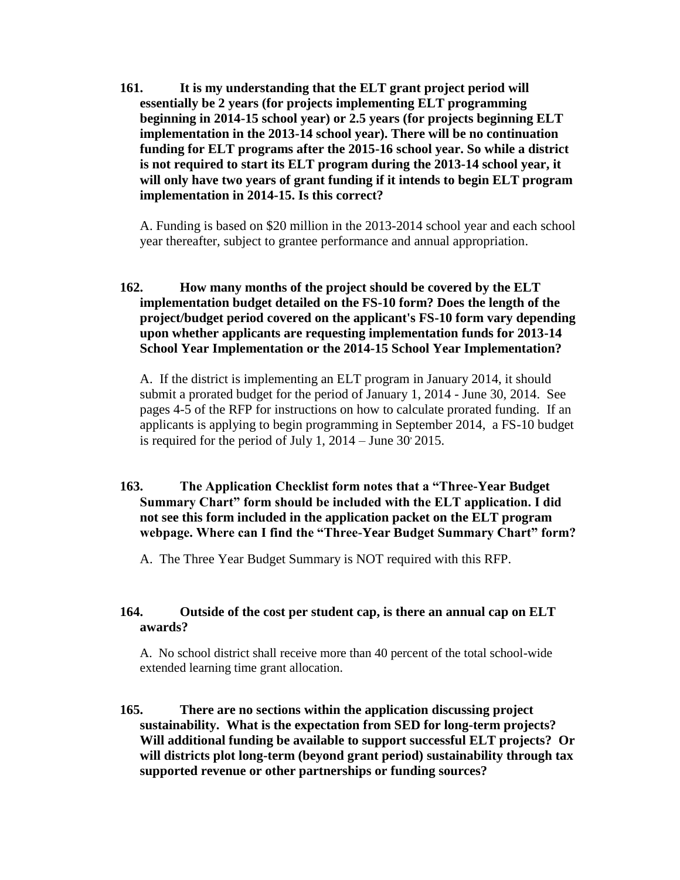**161. It is my understanding that the ELT grant project period will essentially be 2 years (for projects implementing ELT programming beginning in 2014-15 school year) or 2.5 years (for projects beginning ELT implementation in the 2013-14 school year). There will be no continuation funding for ELT programs after the 2015-16 school year. So while a district is not required to start its ELT program during the 2013-14 school year, it will only have two years of grant funding if it intends to begin ELT program implementation in 2014-15. Is this correct?**

A. Funding is based on \$20 million in the 2013-2014 school year and each school year thereafter, subject to grantee performance and annual appropriation.

# **162. How many months of the project should be covered by the ELT implementation budget detailed on the FS-10 form? Does the length of the project/budget period covered on the applicant's FS-10 form vary depending upon whether applicants are requesting implementation funds for 2013-14 School Year Implementation or the 2014-15 School Year Implementation?**

A. If the district is implementing an ELT program in January 2014, it should submit a prorated budget for the period of January 1, 2014 - June 30, 2014. See pages 4-5 of the RFP for instructions on how to calculate prorated funding. If an applicants is applying to begin programming in September 2014, a FS-10 budget is required for the period of July 1,  $2014 -$  June  $30^{\circ} 2015$ .

# **163. The Application Checklist form notes that a "Three-Year Budget Summary Chart" form should be included with the ELT application. I did not see this form included in the application packet on the ELT program webpage. Where can I find the "Three-Year Budget Summary Chart" form?**

A. The Three Year Budget Summary is NOT required with this RFP.

# **164. Outside of the cost per student cap, is there an annual cap on ELT awards?**

A. No school district shall receive more than 40 percent of the total school-wide extended learning time grant allocation.

**165. There are no sections within the application discussing project sustainability. What is the expectation from SED for long-term projects? Will additional funding be available to support successful ELT projects? Or will districts plot long-term (beyond grant period) sustainability through tax supported revenue or other partnerships or funding sources?**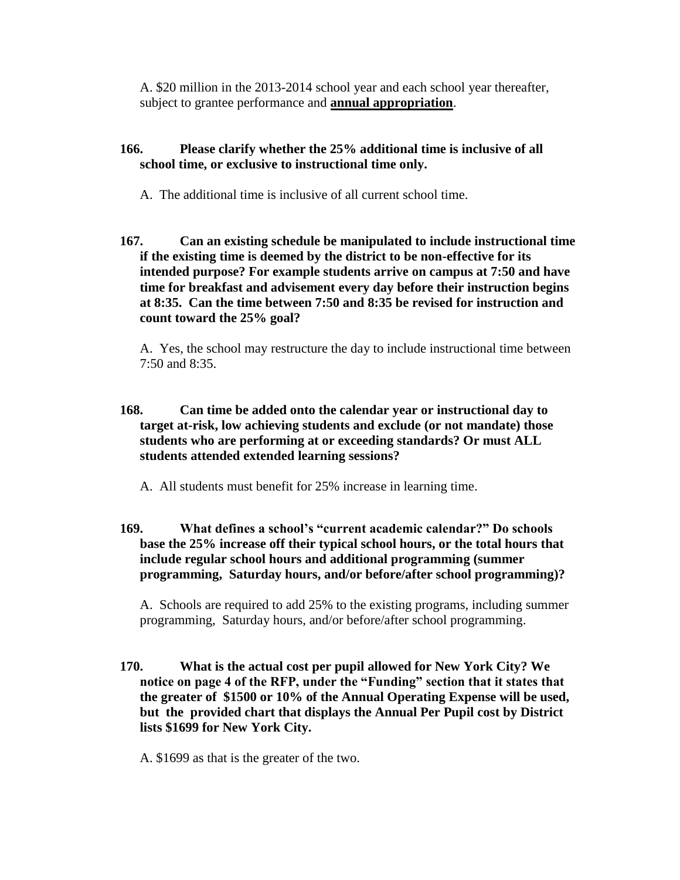A. \$20 million in the 2013-2014 school year and each school year thereafter, subject to grantee performance and **annual appropriation**.

# **166. Please clarify whether the 25% additional time is inclusive of all school time, or exclusive to instructional time only.**

- A. The additional time is inclusive of all current school time.
- **167. Can an existing schedule be manipulated to include instructional time if the existing time is deemed by the district to be non-effective for its intended purpose? For example students arrive on campus at 7:50 and have time for breakfast and advisement every day before their instruction begins at 8:35. Can the time between 7:50 and 8:35 be revised for instruction and count toward the 25% goal?**

A. Yes, the school may restructure the day to include instructional time between 7:50 and 8:35.

**168. Can time be added onto the calendar year or instructional day to target at-risk, low achieving students and exclude (or not mandate) those students who are performing at or exceeding standards? Or must ALL students attended extended learning sessions?**

A. All students must benefit for 25% increase in learning time.

**169. What defines a school's "current academic calendar?" Do schools base the 25% increase off their typical school hours, or the total hours that include regular school hours and additional programming (summer programming, Saturday hours, and/or before/after school programming)?**

A. Schools are required to add 25% to the existing programs, including summer programming, Saturday hours, and/or before/after school programming.

**170. What is the actual cost per pupil allowed for New York City? We notice on page 4 of the RFP, under the "Funding" section that it states that the greater of \$1500 or 10% of the Annual Operating Expense will be used, but the provided chart that displays the Annual Per Pupil cost by District lists \$1699 for New York City.** 

A. \$1699 as that is the greater of the two.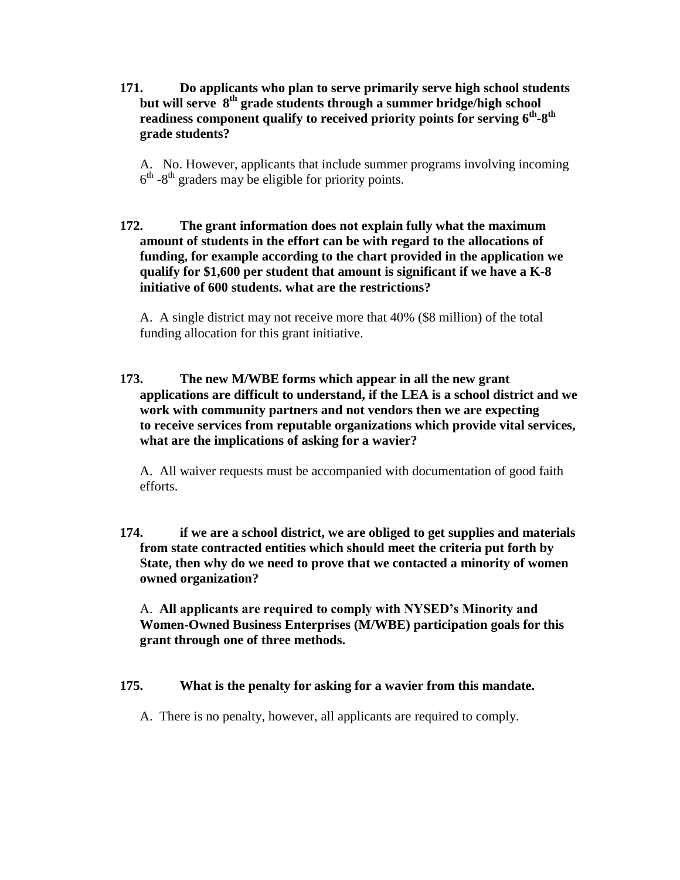**171. Do applicants who plan to serve primarily serve high school students but will serve 8 th grade students through a summer bridge/high school**  readiness component qualify to received priority points for serving  $6^\text{th-}8^\text{th}$ **grade students?**

A. No. However, applicants that include summer programs involving incoming  $6<sup>th</sup>$  -8<sup>th</sup> graders may be eligible for priority points.

**172. The grant information does not explain fully what the maximum amount of students in the effort can be with regard to the allocations of funding, for example according to the chart provided in the application we qualify for \$1,600 per student that amount is significant if we have a K-8 initiative of 600 students. what are the restrictions?**

A. A single district may not receive more that 40% (\$8 million) of the total funding allocation for this grant initiative.

**173. The new M/WBE forms which appear in all the new grant applications are difficult to understand, if the LEA is a school district and we work with community partners and not vendors then we are expecting to receive services from reputable organizations which provide vital services, what are the implications of asking for a wavier?**

A. All waiver requests must be accompanied with documentation of good faith efforts.

**174. if we are a school district, we are obliged to get supplies and materials from state contracted entities which should meet the criteria put forth by State, then why do we need to prove that we contacted a minority of women owned organization?**

A. **All applicants are required to comply with NYSED's Minority and Women-Owned Business Enterprises (M/WBE) participation goals for this grant through one of three methods.** 

# **175. What is the penalty for asking for a wavier from this mandate.**

A. There is no penalty, however, all applicants are required to comply.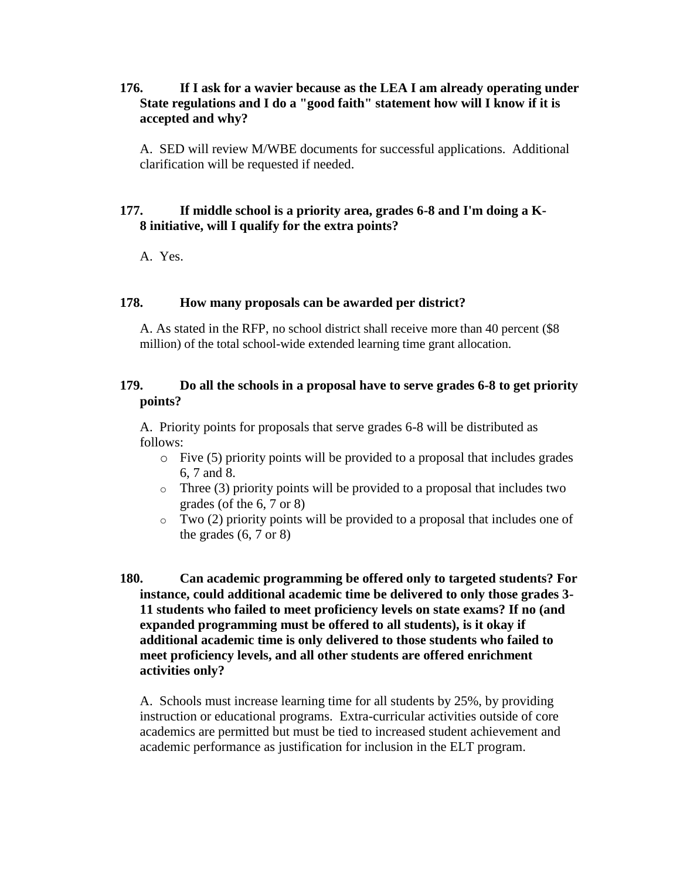### **176. If I ask for a wavier because as the LEA I am already operating under State regulations and I do a "good faith" statement how will I know if it is accepted and why?**

A. SED will review M/WBE documents for successful applications. Additional clarification will be requested if needed.

#### **177. If middle school is a priority area, grades 6-8 and I'm doing a K-8 initiative, will I qualify for the extra points?**

A. Yes.

#### **178. How many proposals can be awarded per district?**

A. As stated in the RFP, no school district shall receive more than 40 percent (\$8 million) of the total school-wide extended learning time grant allocation.

# **179. Do all the schools in a proposal have to serve grades 6-8 to get priority points?**

A. Priority points for proposals that serve grades 6-8 will be distributed as follows:

- o Five (5) priority points will be provided to a proposal that includes grades 6, 7 and 8.
- $\circ$  Three (3) priority points will be provided to a proposal that includes two grades (of the 6, 7 or 8)
- $\circ$  Two (2) priority points will be provided to a proposal that includes one of the grades  $(6, 7 \text{ or } 8)$
- **180. Can academic programming be offered only to targeted students? For instance, could additional academic time be delivered to only those grades 3- 11 students who failed to meet proficiency levels on state exams? If no (and expanded programming must be offered to all students), is it okay if additional academic time is only delivered to those students who failed to meet proficiency levels, and all other students are offered enrichment activities only?**

A. Schools must increase learning time for all students by 25%, by providing instruction or educational programs. Extra-curricular activities outside of core academics are permitted but must be tied to increased student achievement and academic performance as justification for inclusion in the ELT program.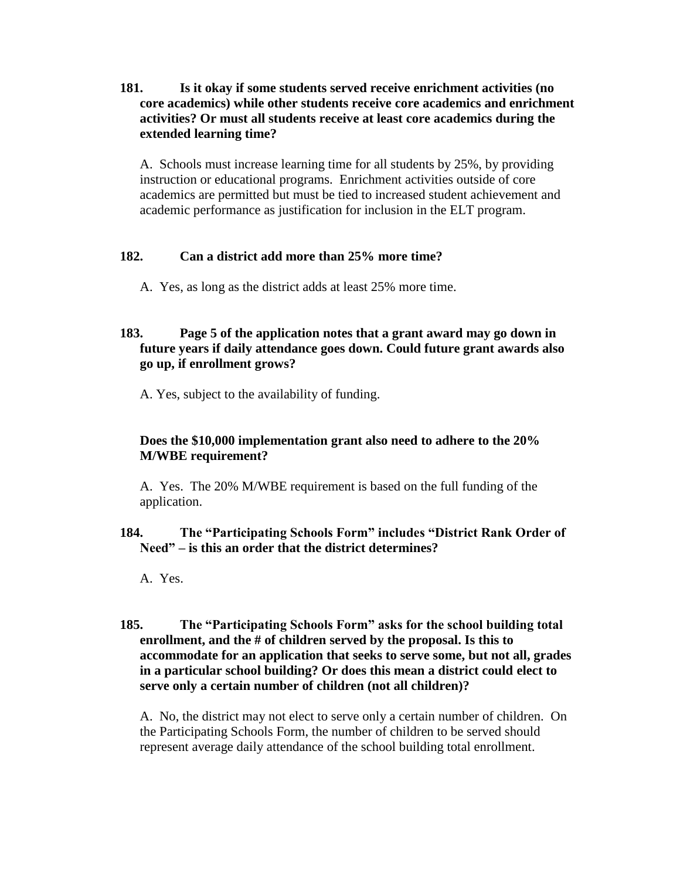# **181. Is it okay if some students served receive enrichment activities (no core academics) while other students receive core academics and enrichment activities? Or must all students receive at least core academics during the extended learning time?**

A. Schools must increase learning time for all students by 25%, by providing instruction or educational programs. Enrichment activities outside of core academics are permitted but must be tied to increased student achievement and academic performance as justification for inclusion in the ELT program.

# **182. Can a district add more than 25% more time?**

A. Yes, as long as the district adds at least 25% more time.

# **183. Page 5 of the application notes that a grant award may go down in future years if daily attendance goes down. Could future grant awards also go up, if enrollment grows?**

A. Yes, subject to the availability of funding.

# **Does the \$10,000 implementation grant also need to adhere to the 20% M/WBE requirement?**

A. Yes. The 20% M/WBE requirement is based on the full funding of the application.

# **184. The "Participating Schools Form" includes "District Rank Order of Need" – is this an order that the district determines?**

A. Yes.

# **185. The "Participating Schools Form" asks for the school building total enrollment, and the # of children served by the proposal. Is this to accommodate for an application that seeks to serve some, but not all, grades in a particular school building? Or does this mean a district could elect to serve only a certain number of children (not all children)?**

A. No, the district may not elect to serve only a certain number of children. On the Participating Schools Form, the number of children to be served should represent average daily attendance of the school building total enrollment.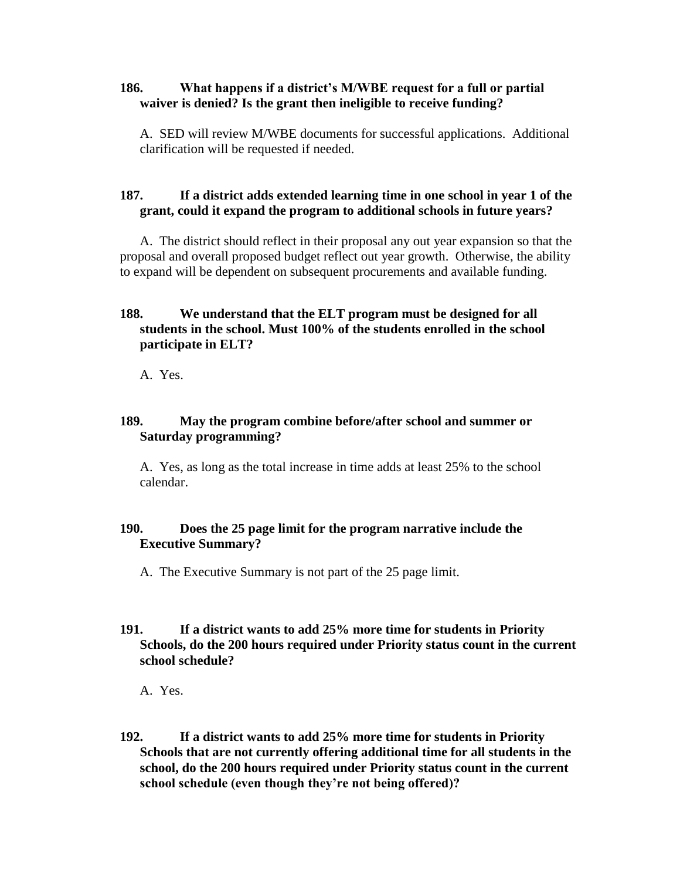### **186. What happens if a district's M/WBE request for a full or partial waiver is denied? Is the grant then ineligible to receive funding?**

A. SED will review M/WBE documents for successful applications. Additional clarification will be requested if needed.

# **187. If a district adds extended learning time in one school in year 1 of the grant, could it expand the program to additional schools in future years?**

A. The district should reflect in their proposal any out year expansion so that the proposal and overall proposed budget reflect out year growth. Otherwise, the ability to expand will be dependent on subsequent procurements and available funding.

# **188. We understand that the ELT program must be designed for all students in the school. Must 100% of the students enrolled in the school participate in ELT?**

A. Yes.

# **189. May the program combine before/after school and summer or Saturday programming?**

A. Yes, as long as the total increase in time adds at least 25% to the school calendar.

# **190. Does the 25 page limit for the program narrative include the Executive Summary?**

A. The Executive Summary is not part of the 25 page limit.

# **191. If a district wants to add 25% more time for students in Priority Schools, do the 200 hours required under Priority status count in the current school schedule?**

A. Yes.

**192. If a district wants to add 25% more time for students in Priority Schools that are not currently offering additional time for all students in the school, do the 200 hours required under Priority status count in the current school schedule (even though they're not being offered)?**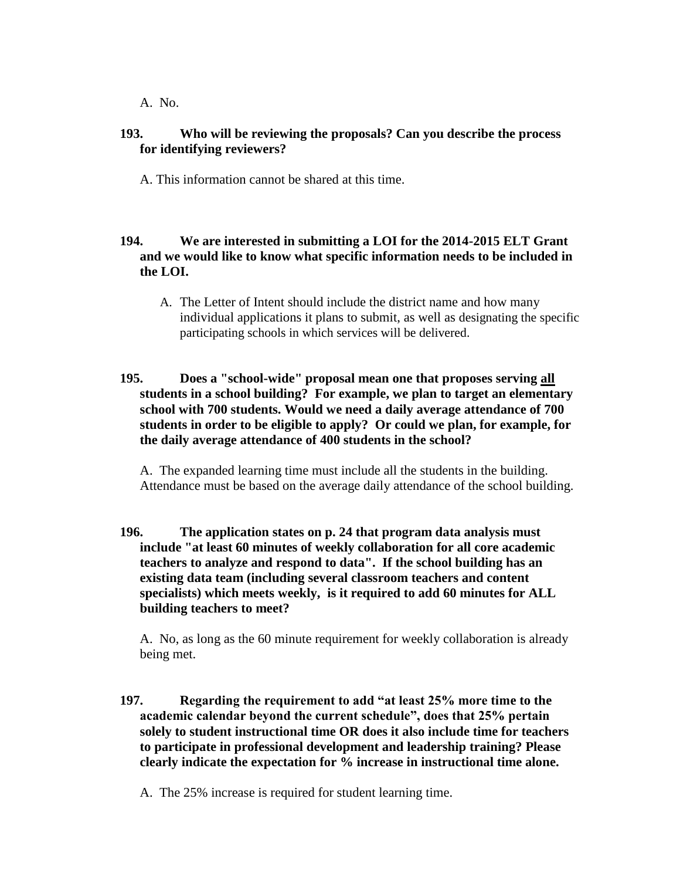A. No.

# **193. Who will be reviewing the proposals? Can you describe the process for identifying reviewers?**

A. This information cannot be shared at this time.

# **194. We are interested in submitting a LOI for the 2014-2015 ELT Grant and we would like to know what specific information needs to be included in the LOI.**

A. The Letter of Intent should include the district name and how many individual applications it plans to submit, as well as designating the specific participating schools in which services will be delivered.

# **195. Does a "school-wide" proposal mean one that proposes serving all students in a school building? For example, we plan to target an elementary school with 700 students. Would we need a daily average attendance of 700 students in order to be eligible to apply? Or could we plan, for example, for the daily average attendance of 400 students in the school?**

A. The expanded learning time must include all the students in the building. Attendance must be based on the average daily attendance of the school building.

**196. The application states on p. 24 that program data analysis must include "at least 60 minutes of weekly collaboration for all core academic teachers to analyze and respond to data". If the school building has an existing data team (including several classroom teachers and content specialists) which meets weekly, is it required to add 60 minutes for ALL building teachers to meet?**

A. No, as long as the 60 minute requirement for weekly collaboration is already being met.

- **197. Regarding the requirement to add "at least 25% more time to the academic calendar beyond the current schedule", does that 25% pertain solely to student instructional time OR does it also include time for teachers to participate in professional development and leadership training? Please clearly indicate the expectation for % increase in instructional time alone.**
	- A. The 25% increase is required for student learning time.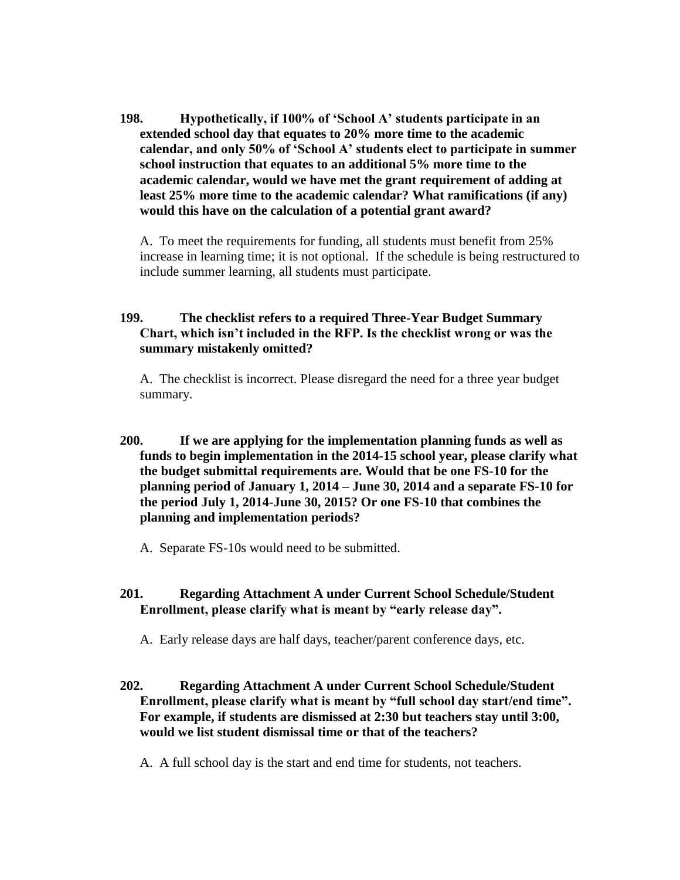**198. Hypothetically, if 100% of 'School A' students participate in an extended school day that equates to 20% more time to the academic calendar, and only 50% of 'School A' students elect to participate in summer school instruction that equates to an additional 5% more time to the academic calendar, would we have met the grant requirement of adding at least 25% more time to the academic calendar? What ramifications (if any) would this have on the calculation of a potential grant award?** 

A. To meet the requirements for funding, all students must benefit from 25% increase in learning time; it is not optional. If the schedule is being restructured to include summer learning, all students must participate.

# **199. The checklist refers to a required Three-Year Budget Summary Chart, which isn't included in the RFP. Is the checklist wrong or was the summary mistakenly omitted?**

A. The checklist is incorrect. Please disregard the need for a three year budget summary.

- **200. If we are applying for the implementation planning funds as well as funds to begin implementation in the 2014-15 school year, please clarify what the budget submittal requirements are. Would that be one FS-10 for the planning period of January 1, 2014 – June 30, 2014 and a separate FS-10 for the period July 1, 2014-June 30, 2015? Or one FS-10 that combines the planning and implementation periods?**
	- A. Separate FS-10s would need to be submitted.
- **201. Regarding Attachment A under Current School Schedule/Student Enrollment, please clarify what is meant by "early release day".**
	- A. Early release days are half days, teacher/parent conference days, etc.
- **202. Regarding Attachment A under Current School Schedule/Student Enrollment, please clarify what is meant by "full school day start/end time". For example, if students are dismissed at 2:30 but teachers stay until 3:00, would we list student dismissal time or that of the teachers?**

A. A full school day is the start and end time for students, not teachers.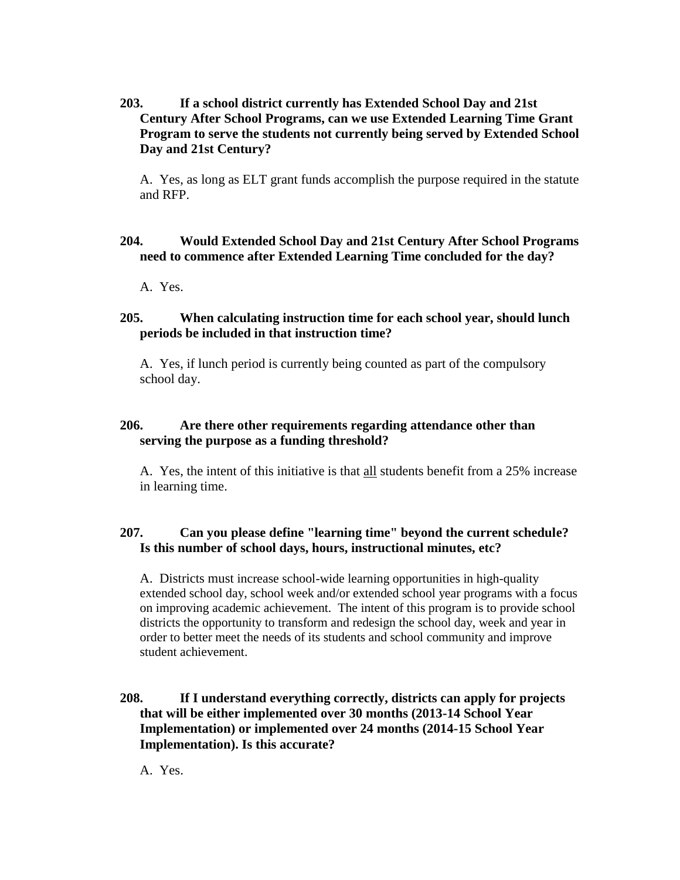**203. If a school district currently has Extended School Day and 21st Century After School Programs, can we use Extended Learning Time Grant Program to serve the students not currently being served by Extended School Day and 21st Century?**

A. Yes, as long as ELT grant funds accomplish the purpose required in the statute and RFP.

# **204. Would Extended School Day and 21st Century After School Programs need to commence after Extended Learning Time concluded for the day?**

A. Yes.

# **205. When calculating instruction time for each school year, should lunch periods be included in that instruction time?**

A. Yes, if lunch period is currently being counted as part of the compulsory school day.

# **206. Are there other requirements regarding attendance other than serving the purpose as a funding threshold?**

A. Yes, the intent of this initiative is that all students benefit from a 25% increase in learning time.

# **207. Can you please define "learning time" beyond the current schedule? Is this number of school days, hours, instructional minutes, etc?**

A. Districts must increase school-wide learning opportunities in high-quality extended school day, school week and/or extended school year programs with a focus on improving academic achievement. The intent of this program is to provide school districts the opportunity to transform and redesign the school day, week and year in order to better meet the needs of its students and school community and improve student achievement.

# **208. If I understand everything correctly, districts can apply for projects that will be either implemented over 30 months (2013-14 School Year Implementation) or implemented over 24 months (2014-15 School Year Implementation). Is this accurate?**

A. Yes.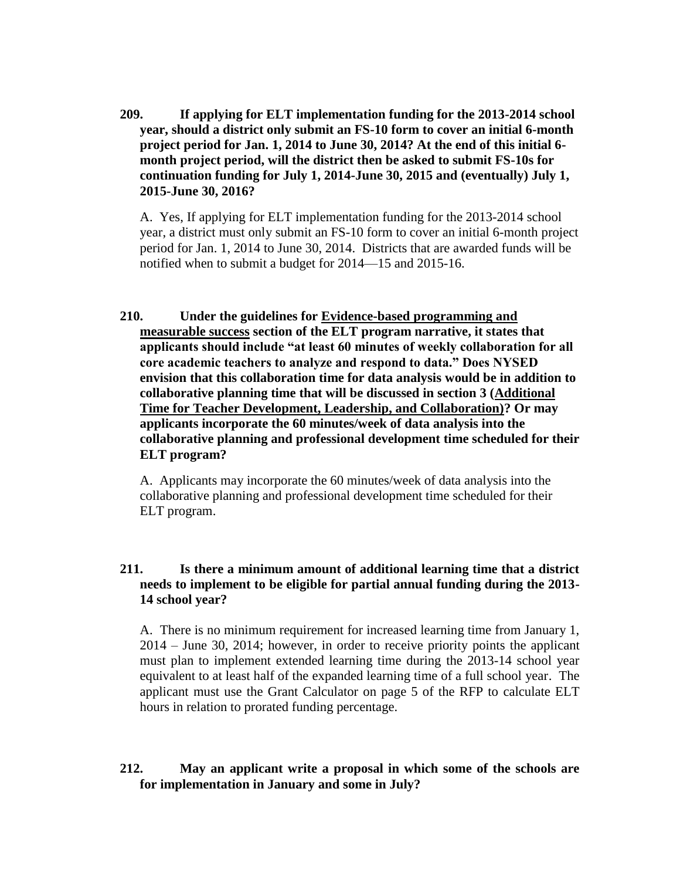**209. If applying for ELT implementation funding for the 2013-2014 school year, should a district only submit an FS-10 form to cover an initial 6-month project period for Jan. 1, 2014 to June 30, 2014? At the end of this initial 6 month project period, will the district then be asked to submit FS-10s for continuation funding for July 1, 2014-June 30, 2015 and (eventually) July 1, 2015-June 30, 2016?**

A. Yes, If applying for ELT implementation funding for the 2013-2014 school year, a district must only submit an FS-10 form to cover an initial 6-month project period for Jan. 1, 2014 to June 30, 2014. Districts that are awarded funds will be notified when to submit a budget for 2014—15 and 2015-16.

**210. Under the guidelines for Evidence-based programming and measurable success section of the ELT program narrative, it states that applicants should include "at least 60 minutes of weekly collaboration for all core academic teachers to analyze and respond to data." Does NYSED envision that this collaboration time for data analysis would be in addition to collaborative planning time that will be discussed in section 3 (Additional Time for Teacher Development, Leadership, and Collaboration)? Or may applicants incorporate the 60 minutes/week of data analysis into the collaborative planning and professional development time scheduled for their ELT program?**

A. Applicants may incorporate the 60 minutes/week of data analysis into the collaborative planning and professional development time scheduled for their ELT program.

### **211. Is there a minimum amount of additional learning time that a district needs to implement to be eligible for partial annual funding during the 2013- 14 school year?**

A. There is no minimum requirement for increased learning time from January 1, 2014 – June 30, 2014; however, in order to receive priority points the applicant must plan to implement extended learning time during the 2013-14 school year equivalent to at least half of the expanded learning time of a full school year. The applicant must use the Grant Calculator on page 5 of the RFP to calculate ELT hours in relation to prorated funding percentage.

# **212. May an applicant write a proposal in which some of the schools are for implementation in January and some in July?**